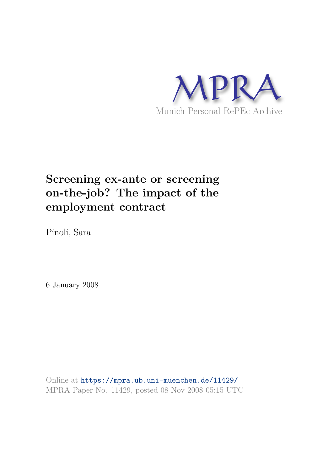

# **Screening ex-ante or screening on-the-job? The impact of the employment contract**

Pinoli, Sara

6 January 2008

Online at https://mpra.ub.uni-muenchen.de/11429/ MPRA Paper No. 11429, posted 08 Nov 2008 05:15 UTC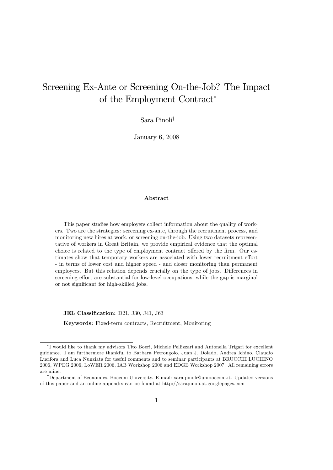## Screening Ex-Ante or Screening On-the-Job? The Impact of the Employment Contract

Sara Pinoli $^{\dagger}$ 

January 6, 2008

## Abstract

This paper studies how employers collect information about the quality of workers. Two are the strategies: screening ex-ante, through the recruitment process, and monitoring new hires at work, or screening on-the-job. Using two datasets representative of workers in Great Britain, we provide empirical evidence that the optimal choice is related to the type of employment contract offered by the firm. Our estimates show that temporary workers are associated with lower recruitment effort - in terms of lower cost and higher speed - and closer monitoring than permanent employees. But this relation depends crucially on the type of jobs. Differences in screening effort are substantial for low-level occupations, while the gap is marginal or not significant for high-skilled jobs.

JEL Classification: D21, J30, J41, J63

Keywords: Fixed-term contracts, Recruitment, Monitoring

I would like to thank my advisors Tito Boeri, Michele Pellizzari and Antonella Trigari for excellent guidance. I am furthermore thankful to Barbara Petrongolo, Juan J. Dolado, Andrea Ichino, Claudio Lucifora and Luca Nunziata for useful comments and to seminar participants at BRUCCHI LUCHINO 2006, WPEG 2006, LoWER 2006, IAB Workshop 2006 and EDGE Workshop 2007. All remaining errors are mine.

<sup>&</sup>lt;sup>†</sup>Department of Economics, Bocconi University. E-mail: sara.pinoli@unibocconi.it. Updated versions of this paper and an online appendix can be found at http://sarapinoli.at.googlepages.com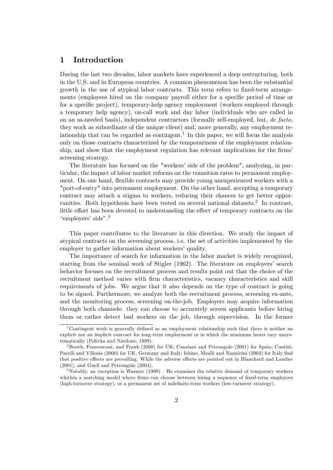## 1 Introduction

During the last two decades, labor markets have experienced a deep restructuring, both in the U.S. and in European countries. A common phenomenon has been the substantial growth in the use of atypical labor contracts. This term refers to fixed-term arrangements (employees hired on the company payroll either for a specific period of time or for a specific project), temporary-help agency employment (workers employed through a temporary help agency), on-call work and day labor (individuals who are called in on an as-needed basis), independent contractors (formally self-employed, but, de facto, they work as subordinate of the unique client) and, more generally, any employment relationship that can be regarded as contingent.<sup>1</sup> In this paper, we will focus the analysis only on those contracts characterized by the temporariness of the employment relationship, and show that the employment regulation has relevant implications for the firms' screening strategy.

The literature has focused on the "workers' side of the problem", analyzing, in particular, the impact of labor market reforms on the transition rates to permanent employment. On one hand, flexible contracts may provide young unexperienced workers with a "port-of-entry" into permanent employment. On the other hand, accepting a temporary contract may attach a stigma to workers, reducing their chances to get better opportunities. Both hypothesis have been tested on several national datasets.<sup>2</sup> In contrast, little effort has been devoted to understanding the effect of temporary contracts on the "employers' side". $3$ 

This paper contributes to the literature in this direction. We study the impact of atypical contracts on the screening process, i.e. the set of activities implemented by the employer to gather information about workers' quality.

The importance of search for information in the labor market is widely recognized, starting from the seminal work of Stigler (1962). The literature on employers' search behavior focuses on the recruitment process and results point out that the choice of the recruitment method varies with firm characteristics, vacancy characteristics and skill requirements of jobs. We argue that it also depends on the type of contract is going to be signed. Furthermore, we analyze both the recruitment process, screening ex-ante, and the monitoring process, screening on-the-job. Employers may acquire information through both channels: they can choose to accurately screen applicants before hiring them or rather detect bad workers on the job, through supervision. In the former

<sup>&</sup>lt;sup>1</sup>Contingent work is generally defined as an employment relationship such that there is neither an explicit nor an implicit contract for long-term employment or in which the minimum hours vary unsystematically (Polivka and Nardone, 1989).

<sup>2</sup>Booth, Francesconi, and Frank (2000) for UK; Canziani and Petrongolo (2001) for Spain; Contini, Pacelli and Villosio (2000) for UK, Germany and Italy; Ichino, Mealli and Nannicini (2004) for Italy find that positive effects are prevailing. While the adverse effects are pointed out in Blanchard and Landier (2001), and Guell and Petrongolo (2004).

<sup>&</sup>lt;sup>3</sup>Notably, an exception is Wasmer (1999). He examines the relative demand of temporary workers whithin a matching model where firms can choose between hiring a sequence of fixed-term employees (high-turnover strategy), or a permanent set of indefinite-term workers (low-turnover strategy).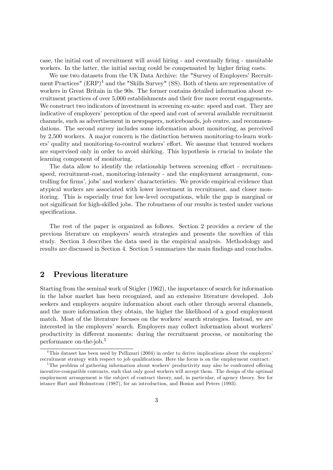case, the initial cost of recruitment will avoid hiring - and eventually firing - unsuitable workers. In the latter, the initial saving could be compensated by higher firing costs.

We use two datasets from the UK Data Archive: the "Survey of Employers' Recruitment Practices" (ERP)<sup>4</sup> and the "Skills Survey" (SS). Both of them are representative of workers in Great Britain in the 90s. The former contains detailed information about recruitment practices of over 5,000 establishments and their Öve more recent engagements. We construct two indicators of investment in screening ex-ante: speed and cost. They are indicative of employers' perception of the speed and cost of several available recruitment channels, such as advertisement in newspapers, noticeboards, job centre, and recommendations. The second survey includes some information about monitoring, as perceived by 2,500 workers. A major concern is the distinction between monitoring-to-learn workers' quality and monitoring-to-control workers' effort. We assume that tenured workers are supervised only in order to avoid shirking. This hypothesis is crucial to isolate the learning component of monitoring.

The data allow to identify the relationship between screening effort - recruitmenspeed, recruitment-cost, monitoring-intensity - and the employment arrangement, controlling for firms', jobs' and workers' characteristics. We provide empirical evidence that atypical workers are associated with lower investment in recruitment, and closer monitoring. This is especially true for low-level occupations, while the gap is marginal or not significant for high-skilled jobs. The robustness of our results is tested under various specifications.

The rest of the paper is organized as follows. Section 2 provides a review of the previous literature on employersí search strategies and presents the novelties of this study. Section 3 describes the data used in the empirical analysis. Methodology and results are discussed in Section 4. Section 5 summarizes the main findings and concludes.

## 2 Previous literature

Starting from the seminal work of Stigler (1962), the importance of search for information in the labor market has been recognized, and an extensive literature developed. Job seekers and employers acquire information about each other through several channels, and the more information they obtain, the higher the likelihood of a good employment match. Most of the literature focuses on the workers' search strategies. Instead, we are interested in the employers' search. Employers may collect information about workers' productivity in different moments: during the recruitment process, or monitoring the performance on-the-job.<sup>5</sup>

<sup>&</sup>lt;sup>4</sup>This dataset has been used by Pellizzari (2004) in order to derive implications about the employers' recruitment strategy with respect to job qualifications. Here the focus is on the employment contract.

 $5$ The problem of gathering information about workers' productivity may also be confronted offering incentive-compatible contracts, such that only good workers will accept them. The design of the optimal employment arrangement is the subject of contract theory, and, in particular, of agency theory. See for istance Hart and Holmstrom (1987), for an introduction, and Hosios and Peters (1993).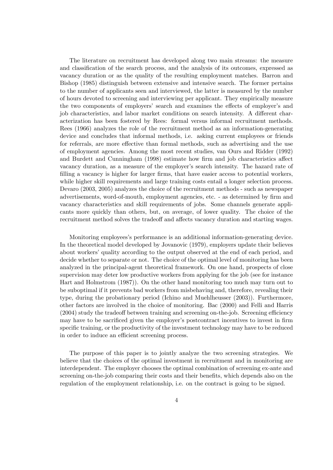The literature on recruitment has developed along two main streams: the measure and classification of the search process, and the analysis of its outcomes, expressed as vacancy duration or as the quality of the resulting employment matches. Barron and Bishop (1985) distinguish between extensive and intensive search. The former pertains to the number of applicants seen and interviewed, the latter is measured by the number of hours devoted to screening and interviewing per applicant. They empirically measure the two components of employers' search and examines the effects of employer's and job characteristics, and labor market conditions on search intensity. A different characterization has been fostered by Rees: formal versus informal recruitment methods. Rees (1966) analyzes the role of the recruitment method as an information-generating device and concludes that informal methods, i.e. asking current employees or friends for referrals, are more effective than formal methods, such as advertising and the use of employment agencies. Among the most recent studies, van Ours and Ridder (1992) and Burdett and Cunningham (1998) estimate how firm and job characteristics affect vacancy duration, as a measure of the employer's search intensity. The hazard rate of filling a vacancy is higher for larger firms, that have easier access to potential workers, while higher skill requirements and large training costs entail a longer selection process. Devaro (2003, 2005) analyzes the choice of the recruitment methods - such as newspaper advertisements, word-of-mouth, employment agencies, etc. - as determined by Örm and vacancy characteristics and skill requirements of jobs. Some channels generate applicants more quickly than others, but, on average, of lower quality. The choice of the recruitment method solves the tradeoff and affects vacancy duration and starting wages.

Monitoring employeesís performance is an additional information-generating device. In the theoretical model developed by Jovanovic (1979), employers update their believes about workersí quality according to the output observed at the end of each period, and decide whether to separate or not. The choice of the optimal level of monitoring has been analyzed in the principal-agent theoretical framework. On one hand, prospects of close supervision may deter low productive workers from applying for the job (see for instance Hart and Holmstrom (1987)). On the other hand monitoring too much may turn out to be suboptimal if it prevents bad workers from misbehaving and, therefore, revealing their type, during the probationary period (Ichino and Muehlheusser (2003)). Furthermore, other factors are involved in the choice of monitoring. Bac (2000) and Felli and Harris  $(2004)$  study the tradeoff between training and screening on-the-job. Screening efficiency may have to be sacrificed given the employer's postcontract incentives to invest in firm specific training, or the productivity of the investment technology may have to be reduced in order to induce an efficient screening process.

The purpose of this paper is to jointly analyze the two screening strategies. We believe that the choices of the optimal investment in recruitment and in monitoring are interdependent. The employer chooses the optimal combination of screening ex-ante and screening on-the-job comparing their costs and their benefits, which depends also on the regulation of the employment relationship, i.e. on the contract is going to be signed.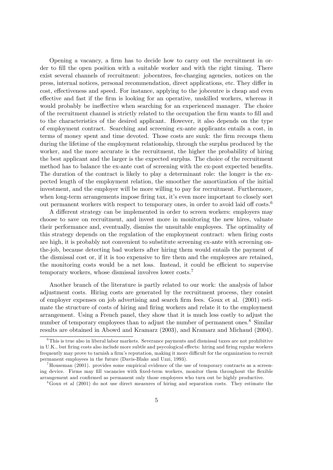Opening a vacancy, a firm has to decide how to carry out the recruitment in order to fill the open position with a suitable worker and with the right timing. There exist several channels of recruitment: jobcentres, fee-charging agencies, notices on the press, internal notices, personal recommendation, direct applications, etc. They differ in cost, effectiveness and speed. For instance, applying to the jobcentre is cheap and even effective and fast if the firm is looking for an operative, unskilled workers, whereas it would probably be ineffective when searching for an experienced manager. The choice of the recruitment channel is strictly related to the occupation the Örm wants to Öll and to the characteristics of the desired applicant. However, it also depends on the type of employment contract. Searching and screening ex-ante applicants entails a cost, in terms of money spent and time devoted. Those costs are sunk: the Örm recoups them during the lifetime of the employment relationship, through the surplus produced by the worker, and the more accurate is the recruitment, the higher the probability of hiring the best applicant and the larger is the expected surplus. The choice of the recruitment method has to balance the ex-ante cost of screening with the ex-post expected benefits. The duration of the contract is likely to play a determinant role: the longer is the expected length of the employment relation, the smoother the amortization of the initial investment, and the employer will be more willing to pay for recruitment. Furthermore, when long-term arrangements impose firing tax, it's even more important to closely sort out permanent workers with respect to temporary ones, in order to avoid laid off  $costs$ .<sup>6</sup>

A different strategy can be implemented in order to screen workers: employers may choose to save on recruitment, and invest more in monitoring the new hires, valuate their performance and, eventually, dismiss the unsuitable employees. The optimality of this strategy depends on the regulation of the employment contract: when firing costs are high, it is probably not convenient to substitute screening ex-ante with screening onthe-job, because detecting bad workers after hiring them would entails the payment of the dismissal cost or, if it is too expensive to fire them and the employees are retained, the monitoring costs would be a net loss. Instead, it could be efficient to supervise temporary workers, whose dismissal involves lower costs.<sup>7</sup>

Another branch of the literature is partly related to our work: the analysis of labor adjustment costs. Hiring costs are generated by the recruitment process, they consist of employer expenses on job advertising and search Örm fees. Goux et al. (2001) estimate the structure of costs of hiring and firing workers and relate it to the employment arrangement. Using a French panel, they show that it is much less costly to adjust the number of temporary employees than to adjust the number of permanent ones.<sup>8</sup> Similar results are obtained in Abowd and Kramarz (2003), and Kramarz and Michaud (2004).

 $6$ This is true also in liberal labor markets. Severance payments and dismissal taxes are not prohibitive in U.K., but firing costs also include more subtle and psycological effects: hiring and firing regular workers frequently may prove to tarnish a firm's reputation, making it more difficult for the organization to recruit permanent employees in the future (Davis-Blake and Uzzi, 1993).

 $7$ Houseman (2001). provides some empirical evidence of the use of temporary contracts as a screening device. Firms may fill vacancies with fixed-term workers, monitor them throughout the flexible arrangement and confirmed as permanent only those employees who turn out be highly productive.

<sup>8</sup>Goux et al (2001) do not use direct measures of hiring and separation costs. They estimate the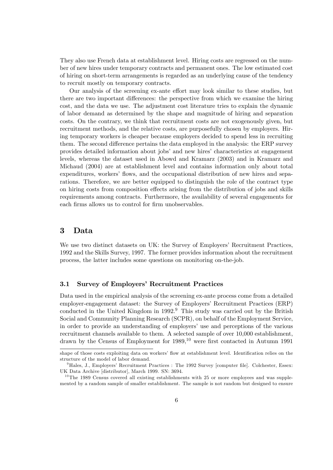They also use French data at establishment level. Hiring costs are regressed on the number of new hires under temporary contracts and permanent ones. The low estimated cost of hiring on short-term arrangements is regarded as an underlying cause of the tendency to recruit mostly on temporary contracts.

Our analysis of the screening ex-ante effort may look similar to these studies, but there are two important differences: the perspective from which we examine the hiring cost, and the data we use. The adjustment cost literature tries to explain the dynamic of labor demand as determined by the shape and magnitude of hiring and separation costs. On the contrary, we think that recruitment costs are not exogenously given, but recruitment methods, and the relative costs, are purposefully chosen by employers. Hiring temporary workers is cheaper because employers decided to spend less in recruiting them. The second difference pertains the data employed in the analysis: the ERP survey provides detailed information about jobsí and new hiresí characteristics at engagement levels, whereas the dataset used in Abowd and Kramarz (2003) and in Kramarz and Michaud (2004) are at establishment level and contains information only about total expenditures, workers' flows, and the occupational distribution of new hires and separations. Therefore, we are better equipped to distinguish the role of the contract type on hiring costs from composition effects arising from the distribution of jobs and skills requirements among contracts. Furthermore, the availability of several engagements for each firms allows us to control for firm unobservables.

## 3 Data

We use two distinct datasets on UK: the Survey of Employers' Recruitment Practices, 1992 and the Skills Survey, 1997. The former provides information about the recruitment process, the latter includes some questions on monitoring on-the-job.

## 3.1 Survey of Employers' Recruitment Practices

Data used in the empirical analysis of the screening ex-ante process come from a detailed employer-engagement dataset: the Survey of Employers' Recruitment Practices (ERP) conducted in the United Kingdom in 1992.<sup>9</sup> This study was carried out by the British Social and Community Planning Research (SCPR), on behalf of the Employment Service, in order to provide an understanding of employers' use and perceptions of the various recruitment channels available to them. A selected sample of over 10,000 establishment, drawn by the Census of Employment for  $1989$ ,  $^{10}$  were first contacted in Autumn 1991

shape of those costs exploiting data on workers' flow at establishment level. Identification relies on the structure of the model of labor demand.

 $9$ Hales, J., Employers' Recruitment Practices : The 1992 Survey [computer file]. Colchester, Essex: UK Data Archive [distributor], March 1999. SN: 3694.

 $10$ The 1989 Census covered all existing establishments with 25 or more employees and was supplemented by a random sample of smaller establishment. The sample is not random but designed to ensure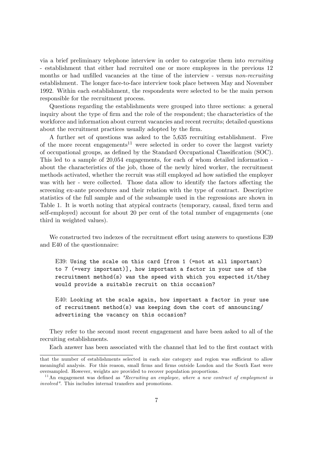via a brief preliminary telephone interview in order to categorize them into recruiting - establishment that either had recruited one or more employees in the previous 12 months or had unfilled vacancies at the time of the interview - versus non-recruiting establishment. The longer face-to-face interview took place between May and November 1992. Within each establishment, the respondents were selected to be the main person responsible for the recruitment process.

Questions regarding the establishments were grouped into three sections: a general inquiry about the type of firm and the role of the respondent; the characteristics of the workforce and information about current vacancies and recent recruits; detailed questions about the recruitment practices usually adopted by the firm.

A further set of questions was asked to the 5,635 recruiting establishment. Five of the more recent engagements<sup>11</sup> were selected in order to cover the largest variety of occupational groups, as defined by the Standard Occupational Classification (SOC). This led to a sample of 20,054 engagements, for each of whom detailed information about the characteristics of the job, those of the newly hired worker, the recruitment methods activated, whether the recruit was still employed ad how satisfied the employer was with her - were collected. Those data allow to identify the factors affecting the screening ex-ante procedures and their relation with the type of contract. Descriptive statistics of the full sample and of the subsample used in the regressions are shown in Table 1. It is worth noting that atypical contracts (temporary, causal, fixed term and self-employed) account for about 20 per cent of the total number of engagements (one third in weighted values).

We constructed two indexes of the recruitment effort using answers to questions E39 and E40 of the questionnaire:

E39: Using the scale on this card [from 1 (=not at all important) to 7 (=very important)], how important a factor in your use of the recruitment method(s) was the speed with which you expected it/they would provide a suitable recruit on this occasion?

E40: Looking at the scale again, how important a factor in your use of recruitment method(s) was keeping down the cost of announcing/ advertising the vacancy on this occasion?

They refer to the second most recent engagement and have been asked to all of the recruiting establishments.

Each answer has been associated with the channel that led to the first contact with

that the number of establishments selected in each size category and region was sufficient to allow meaningful analysis. For this reason, small Örms and Örms outside London and the South East were oversampled. However, weights are provided to recover population proportions.

 $11$ An engagement was defined as "Recruiting an employee, where a new contract of employment is involved". This includes internal transfers and promotions.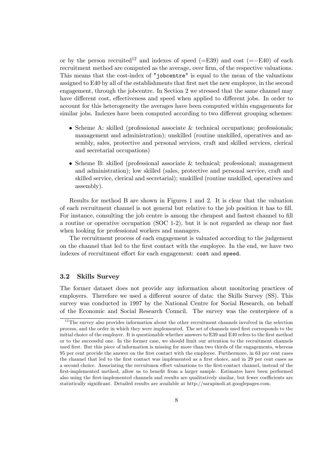or by the person recruited<sup>12</sup> and indexes of speed (=E39) and cost (=-E40) of each recruitment method are computed as the average, over firm, of the respective valuations. This means that the cost-index of "jobcentre" is equal to the mean of the valuations assigned to E40 by all of the establishments that first met the new employee, in the second engagement, through the jobcentre. In Section 2 we stressed that the same channel may have different cost, effectiveness and speed when applied to different jobs. In order to account for this heterogeneity the averages have been computed within engagements for similar jobs. Indexes have been computed according to two different grouping schemes:

- $\bullet$  Scheme A: skilled (professional associate & technical occupations; professionals; management and administration); unskilled (routine unskilled, operatives and assembly, sales, protective and personal services, craft and skilled services, clerical and secretarial occupations)
- $\bullet$  Scheme B: skilled (professional associate & technical; professional; management and administration); low skilled (sales, protective and personal service, craft and skilled service, clerical and secretarial); unskilled (routine unskilled, operatives and assembly).

Results for method B are shown in Figures 1 and 2. It is clear that the valuation of each recruitment channel is not general but relative to the job position it has to fill. For instance, consulting the job centre is among the cheapest and fastest channel to fill a routine or operative occupation (SOC 1-2), but it is not regarded as cheap nor fast when looking for professional workers and managers.

The recruitment process of each engagement is valuated according to the judgement on the channel that led to the Örst contact with the employee. In the end, we have two indexes of recruitment effort for each engagement: cost and speed.

### 3.2 Skills Survey

The former dataset does not provide any information about monitoring practices of employers. Therefore we used a different source of data: the Skills Survey (SS). This survey was conducted in 1997 by the National Centre for Social Research, on behalf of the Economic and Social Research Council. The survey was the centerpiece of a

 $12$ The survey also provides information about the other recruitment channels involved in the selection process, and the order in which they were implemented. The set of channels used Örst corresponds to the initial choice of the employer. It is questionable whether answers to E39 and E40 refers to the first method or to the successful one. In the former case, we should limit our attention to the recruitment channels used first. But this piece of information is missing for more than two thirds of the engagements, whereas 95 per cent provide the answer on the Örst contact with the employee. Furthermore, in 63 per cent cases the channel that led to the first contact was implemented as a first choice, and in 29 per cent cases as a second choice. Associating the recruitmen effort valuations to the first-contact channel, instead of the first-implemented method, allow us to benefit from a larger sample. Estimates have been performed also using the first-implemented channels and results are qualitatively similar, but fewer coefficients are statistically significant. Detailed results are available at http://sarapinoli.at.googlepages.com.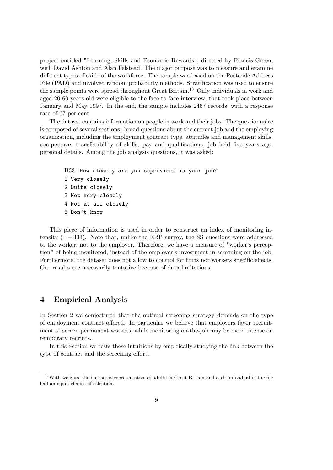project entitled "Learning, Skills and Economic Rewards", directed by Francis Green, with David Ashton and Alan Felstead. The major purpose was to measure and examine different types of skills of the workforce. The sample was based on the Postcode Address File (PAD) and involved random probability methods. Stratification was used to ensure the sample points were spread throughout Great Britain.<sup>13</sup> Only individuals in work and aged 20-60 years old were eligible to the face-to-face interview, that took place between January and May 1997. In the end, the sample includes 2467 records, with a response rate of 67 per cent.

The dataset contains information on people in work and their jobs. The questionnaire is composed of several sections: broad questions about the current job and the employing organization, including the employment contract type, attitudes and management skills, competence, transferability of skills, pay and qualifications, job held five years ago, personal details. Among the job analysis questions, it was asked:

```
B33: How closely are you supervised in your job?
1 Very closely
2 Quite closely
3 Not very closely
4 Not at all closely
5 Don't know
```
This piece of information is used in order to construct an index of monitoring intensity  $(=-B33)$ . Note that, unlike the ERP survey, the SS questions were addressed to the worker, not to the employer. Therefore, we have a measure of "worker's perception" of being monitored, instead of the employer's investment in screening on-the-job. Furthermore, the dataset does not allow to control for firms nor workers specific effects. Our results are necessarily tentative because of data limitations.

## 4 Empirical Analysis

In Section 2 we conjectured that the optimal screening strategy depends on the type of employment contract offered. In particular we believe that employers favor recruitment to screen permanent workers, while monitoring on-the-job may be more intense on temporary recruits.

In this Section we tests these intuitions by empirically studying the link between the type of contract and the screening effort.

 $13$  With weights, the dataset is representative of adults in Great Britain and each individual in the file had an equal chance of selection.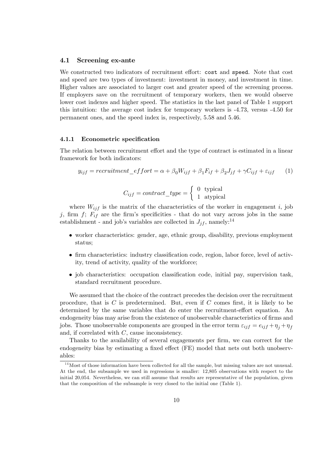#### 4.1 Screening ex-ante

We constructed two indicators of recruitment effort: cost and speed. Note that cost and speed are two types of investment: investment in money, and investment in time. Higher values are associated to larger cost and greater speed of the screening process. If employers save on the recruitment of temporary workers, then we would observe lower cost indexes and higher speed. The statistics in the last panel of Table 1 support this intuition: the average cost index for temporary workers is -4.73, versus -4.50 for permanent ones, and the speed index is, respectively, 5.58 and 5.46.

#### 4.1.1 Econometric specification

The relation between recruitment effort and the type of contract is estimated in a linear framework for both indicators:

$$
y_{ijf} = recruitment\_effort = \alpha + \beta_0 W_{ijf} + \beta_1 F_{if} + \beta_2 J_{jf} + \gamma C_{ijf} + \varepsilon_{ijf} \tag{1}
$$

$$
C_{ijf} = contract\_type = \begin{cases} 0 & \text{typical} \\ 1 & \text{atypical} \end{cases}
$$

where  $W_{ijf}$  is the matrix of the characteristics of the worker in engagement i, job j, firm f;  $F_{if}$  are the firm's specificities - that do not vary across jobs in the same establishment - and job's variables are collected in  $J_{jf}$ , namely:<sup>14</sup>

- worker characteristics: gender, age, ethnic group, disability, previous employment status;
- $\bullet$  firm characteristics: industry classification code, region, labor force, level of activity, trend of activity, quality of the workforce;
- job characteristics: occupation classification code, initial pay, supervision task, standard recruitment procedure.

We assumed that the choice of the contract precedes the decision over the recruitment procedure, that is  $C$  is predetermined. But, even if  $C$  comes first, it is likely to be determined by the same variables that do enter the recruitment-effort equation. An endogeneity bias may arise from the existence of unobservable characteristics of firms and jobs. Those unobservable components are grouped in the error term  $\varepsilon_{ijf} = e_{ijf} + \eta_j + \eta_f$ and, if correlated with C, cause inconsistency.

Thanks to the availability of several engagements per firm, we can correct for the endogeneity bias by estimating a fixed effect (FE) model that nets out both unobservables:

 $14$ Most of those information have been collected for all the sample, but missing values are not unusual. At the end, the subsample we used in regressions is smaller: 12,805 observations with respect to the initial 20,054. Nevertheless, we can still assume that results are representative of the population, given that the composition of the subsample is very closed to the initial one (Table 1).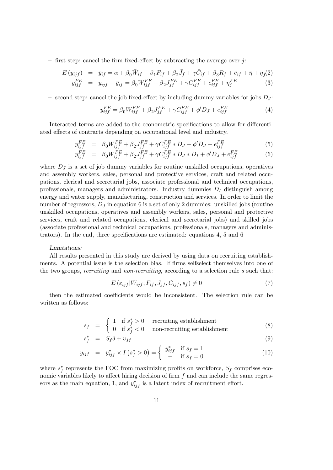$\overline{\phantom{a}}$  = first step: cancel the firm fixed-effect by subtracting the average over j:

$$
E(y_{ijf}) = \bar{y}_{if} = \alpha + \beta_0 \bar{W}_{if} + \beta_1 F_{if} + \beta_2 \bar{J}_f + \gamma \bar{C}_{if} + \beta_3 R_f + \bar{e}_{if} + \bar{\eta} + \eta_f(2) \ny_{ijf}^{FE} = y_{ijf} - \bar{y}_{if} = \beta_0 W_{ijf}^{FE} + \beta_2 J_{jf}^{FE} + \gamma C_{ijf}^{FE} + e_{ijf}^{FE} + \eta_f^{FE}
$$
\n(3)

 $\sim$  second step: cancel the job fixed-effect by including dummy variables for jobs  $D_J$ :

$$
y_{ij}^{FE} = \beta_0 W_{ijf}^{FE} + \beta_2 J_{jf}^{FE} + \gamma C_{ijf}^{FE} + \phi' D_J + e_{ijf}^{FE}
$$
 (4)

Interacted terms are added to the econometric specifications to allow for differentiated effects of contracts depending on occupational level and industry.

$$
y_{ij}^{FE} = \beta_0 W_{ij}^{FE} + \beta_2 J_{jf}^{FE} + \gamma C_{ij}^{FE} * D_J + \phi' D_J + e_{ij}^{FE}
$$
 (5)

$$
y_{ij}^{FE} = \beta_0 W_{ij}^{FE} + \beta_2 J_{jj}^{FE} + \gamma C_{ij}^{FE} * D_J * D_I + \phi' D_J + e_{ij}^{FE}
$$
(6)

where  $D_J$  is a set of job dummy variables for routine unskilled occupations, operatives and assembly workers, sales, personal and protective services, craft and related occupations, clerical and secretarial jobs, associate professional and technical occupations, professionals, managers and administrators. Industry dummies  $D<sub>I</sub>$  distinguish among energy and water supply, manufacturing, construction and services. In order to limit the number of regressors,  $D_J$  in equation 6 is a set of only 2 dummies: unskilled jobs (routine unskilled occupations, operatives and assembly workers, sales, personal and protective services, craft and related occupations, clerical and secretarial jobs) and skilled jobs (associate professional and technical occupations, professionals, managers and administrators). In the end, three specifications are estimated: equations 4, 5 and 6

#### Limitations:

All results presented in this study are derived by using data on recruiting establishments. A potential issue is the selection bias. If firms selfselect themselves into one of the two groups, recruiting and non-recruiting, according to a selection rule s such that:

$$
E\left(\varepsilon_{ijf}|W_{ijf}, F_{if}, J_{jf}, C_{ijf}, s_f\right) \neq 0\tag{7}
$$

then the estimated coefficients would be inconsistent. The selection rule can be written as follows:

$$
s_f = \begin{cases} 1 & \text{if } s_f^* > 0 \\ 0 & \text{if } s_f^* < 0 \end{cases} \text{recruiting establishment} \tag{8}
$$

$$
s_f^* = S_f \delta + v_{jf} \tag{9}
$$

$$
y_{ijf} = y_{ijf}^* \times I (s_f^* > 0) = \begin{cases} y_{ijf}^* & \text{if } s_f = 1 \\ - & \text{if } s_f = 0 \end{cases}
$$
 (10)

where  $s_f^*$  represents the FOC from maximizing profits on workforce,  $S_f$  comprises economic variables likely to affect hiring decision of firm  $f$  and can include the same regressors as the main equation, 1, and  $y_{ijf}^*$  is a latent index of recruitment effort.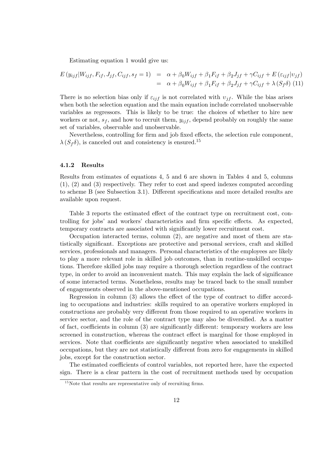Estimating equation 1 would give us:

$$
E(y_{ijf}|W_{ijf}, F_{if}, J_{jf}, C_{ijf}, s_f = 1) = \alpha + \beta_0 W_{ijf} + \beta_1 F_{if} + \beta_2 J_{jf} + \gamma C_{ijf} + E(\varepsilon_{ijf}|v_{jf})
$$
  
=  $\alpha + \beta_0 W_{ijf} + \beta_1 F_{if} + \beta_2 J_{jf} + \gamma C_{ijf} + \lambda (S_f \delta)$  (11)

There is no selection bias only if  $\varepsilon_{ij}$  is not correlated with  $v_{if}$ . While the bias arises when both the selection equation and the main equation include correlated unobservable variables as regressors. This is likely to be true: the choices of whether to hire new workers or not,  $s_f$ , and how to recruit them,  $y_{ij}$ , depend probably on roughly the same set of variables, observable and unobservable.

Nevertheless, controlling for firm and job fixed effects, the selection rule component,  $\lambda(S_f\delta)$ , is canceled out and consistency is ensured.<sup>15</sup>

#### 4.1.2 Results

Results from estimates of equations 4, 5 and 6 are shown in Tables 4 and 5, columns (1), (2) and (3) respectively. They refer to cost and speed indexes computed according to scheme B (see Subsection 3.1). Different specifications and more detailed results are available upon request.

Table 3 reports the estimated effect of the contract type on recruitment cost, controlling for jobs' and workers' characteristics and firm specific effects. As expected, temporary contracts are associated with significantly lower recruitment cost.

Occupation interacted terms, column (2), are negative and most of them are statistically significant. Exceptions are protective and personal services, craft and skilled services, professionals and managers. Personal characteristics of the employees are likely to play a more relevant role in skilled job outcomes, than in routine-unskilled occupations. Therefore skilled jobs may require a thorough selection regardless of the contract type, in order to avoid an inconvenient match. This may explain the lack of significance of some interacted terms. Nonetheless, results may be traced back to the small number of engagements observed in the above-mentioned occupations.

Regression in column  $(3)$  allows the effect of the type of contract to differ according to occupations and industries: skills required to an operative workers employed in constructions are probably very different from those required to an operative workers in service sector, and the role of the contract type may also be diversified. As a matter of fact, coefficients in column  $(3)$  are significantly different: temporary workers are less screened in construction, whereas the contract effect is marginal for those employed in services. Note that coefficients are significantly negative when associated to unskilled occupations, but they are not statistically different from zero for engagements in skilled jobs, except for the construction sector.

The estimated coefficients of control variables, not reported here, have the expected sign. There is a clear pattern in the cost of recruitment methods used by occupation

 $15$ Note that results are representative only of recruiting firms.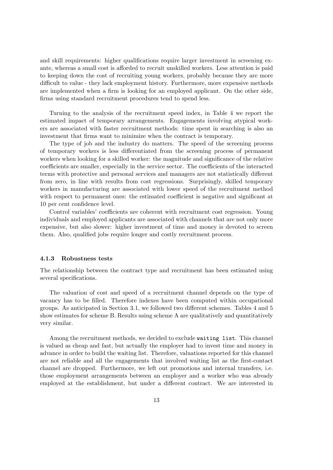and skill requirements: higher qualifications require larger investment in screening exante, whereas a small cost is afforded to recruit unskilled workers. Less attention is paid to keeping down the cost of recruiting young workers, probably because they are more difficult to value - they lack employment history. Furthermore, more expensive methods are implemented when a firm is looking for an employed applicant. On the other side, firms using standard recruitment procedures tend to spend less.

Turning to the analysis of the recruitment speed index, in Table 4 we report the estimated impact of temporary arrangements. Engagements involving atypical workers are associated with faster recruitment methods: time spent in searching is also an investment that firms want to minimize when the contract is temporary.

The type of job and the industry do matters. The speed of the screening process of temporary workers is less differentiated from the screening process of permanent workers when looking for a skilled worker: the magnitude and significance of the relative coefficients are smaller, especially in the service sector. The coefficients of the interacted terms with protective and personal services and managers are not statistically different from zero, in line with results from cost regressions. Surprisingly, skilled temporary workers in manufacturing are associated with lower speed of the recruitment method with respect to permanent ones: the estimated coefficient is negative and significant at 10 per cent confidence level.

Control variables' coefficients are coherent with recruitment cost regression. Young individuals and employed applicants are associated with channels that are not only more expensive, but also slower: higher investment of time and money is devoted to screen them. Also, qualified jobs require longer and costly recruitment process.

#### 4.1.3 Robustness tests

The relationship between the contract type and recruitment has been estimated using several specifications.

The valuation of cost and speed of a recruitment channel depends on the type of vacancy has to be filled. Therefore indexes have been computed within occupational groups. As anticipated in Section 3.1, we followed two different schemes. Tables 4 and 5 show estimates for scheme B. Results using scheme A are qualitatively and quantitatively very similar.

Among the recruitment methods, we decided to exclude waiting list. This channel is valued as cheap and fast, but actually the employer had to invest time and money in advance in order to build the waiting list. Therefore, valuations reported for this channel are not reliable and all the engagements that involved waiting list as the first-contact channel are dropped. Furthermore, we left out promotions and internal transfers, i.e. those employment arrangements between an employer and a worker who was already employed at the establishment, but under a different contract. We are interested in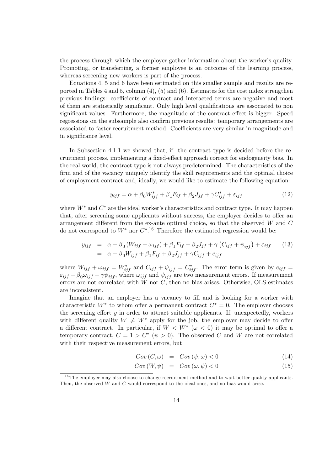the process through which the employer gather information about the worker's quality. Promoting, or transferring, a former employee is an outcome of the learning process, whereas screening new workers is part of the process.

Equations 4, 5 and 6 have been estimated on this smaller sample and results are reported in Tables 4 and 5, column  $(4)$ ,  $(5)$  and  $(6)$ . Estimates for the cost index strengthen previous findings: coefficients of contract and interacted terms are negative and most of them are statistically significant. Only high level qualifications are associated to non significant values. Furthermore, the magnitude of the contract effect is bigger. Speed regressions on the subsample also confirm previous results: temporary arrangements are associated to faster recruitment method. Coefficients are very similar in magnitude and in significance level.

In Subsection 4.1.1 we showed that, if the contract type is decided before the recruitment process, implementing a fixed-effect approach correct for endogeneity bias. In the real world, the contract type is not always predetermined. The characteristics of the firm and of the vacancy uniquely identify the skill requirements and the optimal choice of employment contract and, ideally, we would like to estimate the following equation:

$$
y_{ijf} = \alpha + \beta_0 W_{ijf}^* + \beta_1 F_{if} + \beta_2 J_{jf} + \gamma C_{ijf}^* + \varepsilon_{ijf}
$$
\n(12)

where  $W^*$  and  $C^*$  are the ideal worker's characteristics and contract type. It may happen that, after screening some applicants without success, the employer decides to offer an arrangement different from the ex-ante optimal choice, so that the observed  $W$  and  $C$ do not correspond to  $W^*$  nor  $C^{*,16}$  Therefore the estimated regression would be:

$$
y_{ijf} = \alpha + \beta_0 (W_{ijf} + \omega_{ijf}) + \beta_1 F_{if} + \beta_2 J_{jf} + \gamma (C_{ijf} + \psi_{ijf}) + \varepsilon_{ijf}
$$
 (13)  
=  $\alpha + \beta_0 W_{ijf} + \beta_1 F_{if} + \beta_2 J_{jf} + \gamma C_{ijf} + e_{ijf}$ 

where  $W_{ijf} + \omega_{ijf} = W^*_{ijf}$  and  $C_{ijf} + \psi_{ijf} = C^*_{ijf}$ . The error term is given by  $e_{ijf} =$  $\varepsilon_{ijf} + \beta_0 \omega_{ijf} + \gamma \psi_{ijf}$ , where  $\omega_{ijf}$  and  $\psi_{ijf}$  are two measurement errors. If measurement errors are not correlated with  $W$  nor  $C$ , then no bias arises. Otherwise, OLS estimates are inconsistent.

Imagine that an employer has a vacancy to fill and is looking for a worker with characteristic  $W^*$  to whom offer a permanent contract  $C^* = 0$ . The employer chooses the screening effort  $y$  in order to attract suitable applicants. If, unexpectedly, workers with different quality  $W \neq W^*$  apply for the job, the employer may decide to offer a different contract. In particular, if  $W < W^*$  ( $\omega < 0$ ) it may be optimal to offer a temporary contract,  $C = 1 > C^*$  ( $\psi > 0$ ). The observed C and W are not correlated with their respective measurement errors, but

$$
Cov(C, \omega) = Cov(\psi, \omega) < 0 \tag{14}
$$

$$
Cov\left(W,\psi\right) = Cov\left(\omega,\psi\right) < 0\tag{15}
$$

 $16$ The employer may also choose to change recruitment method and to wait better quality applicants. Then, the observed W and C would correspond to the ideal ones, and no bias would arise.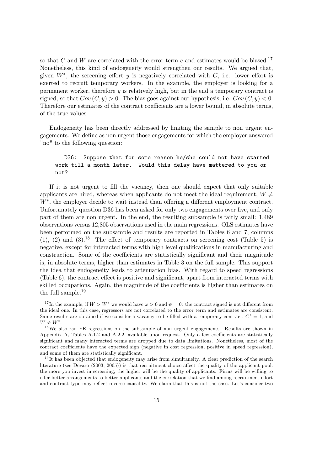so that C and W are correlated with the error term  $e$  and estimates would be biased.<sup>17</sup> Nonetheless, this kind of endogeneity would strengthen our results. We argued that, given  $W^*$ , the screening effort y is negatively correlated with  $C$ , i.e. lower effort is exerted to recruit temporary workers. In the example, the employer is looking for a permanent worker, therefore y is relatively high, but in the end a temporary contract is signed, so that  $Cov(C, y) > 0$ . The bias goes against our hypothesis, i.e.  $Cov(C, y) < 0$ . Therefore our estimates of the contract coefficients are a lower bound, in absolute terms, of the true values.

Endogeneity has been directly addressed by limiting the sample to non urgent engagements. We define as non urgent those engagements for which the employer answered "no" to the following question:

## D36: Suppose that for some reason he/she could not have started work till a month later. Would this delay have mattered to you or not?

If it is not urgent to fill the vacancy, then one should expect that only suitable applicants are hired, whereas when applicants do not meet the ideal requirement,  $W \neq$  $W^*$ , the employer decide to wait instead than offering a different employment contract. Unfortunately question D36 has been asked for only two engagements over five, and only part of them are non urgent. In the end, the resulting subsample is fairly small: 1,489 observations versus 12,805 observations used in the main regressions. OLS estimates have been performed on the subsample and results are reported in Tables 6 and 7, columns  $(1)$ ,  $(2)$  and  $(3)$ .<sup>18</sup> The effect of temporary contracts on screening cost (Table 5) is negative, except for interacted terms with high level qualifications in manufacturing and construction. Some of the coefficients are statistically significant and their magnitude is, in absolute terms, higher than estimates in Table 3 on the full sample. This support the idea that endogeneity leads to attenuation bias. With regard to speed regressions  $(Table 6)$ , the contract effect is positive and significant, apart from interacted terms with skilled occupations. Again, the magnitude of the coefficients is higher than estimates on the full sample.<sup>19</sup>

<sup>&</sup>lt;sup>17</sup>In the example, if  $W > W^*$  we would have  $\omega > 0$  and  $\psi = 0$ : the contract signed is not different from the ideal one. In this case, regressors are not correlated to the error term and estimates are consistent. Same results are obtained if we consider a vacancy to be filled with a temporary contract,  $C^* = 1$ , and  $W \neq W^*$ .

 $18$ We also ran FE regressions on the subsample of non urgent engagements. Results are shown in Appendix A, Tables  $A.1.2$  and  $A.2.2$ , available upon request. Only a few coefficients are statistically significant and many interacted terms are dropped due to data limitations. Nonetheless, most of the contract coefficients have the expected sign (negative in cost regression, positive in speed regression), and some of them are statistically significant.

 $1<sup>9</sup>$ It has been objected that endogeneity may arise from simultaneity. A clear prediction of the search literature (see Devaro (2003, 2005)) is that recruitment choice affect the quality of the applicant pool: the more you invest in screening, the higher will be the quality of applicants. Firms will be willing to offer better arrangements to better applicants and the correlation that we find among recruitment effort and contract type may reflect reverse causality. We claim that this is not the case. Let's consider two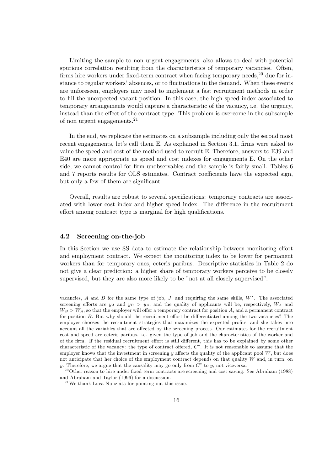Limiting the sample to non urgent engagements, also allows to deal with potential spurious correlation resulting from the characteristics of temporary vacancies. Often, firms hire workers under fixed-term contract when facing temporary needs,<sup>20</sup> due for instance to regular workers' absences, or to fluctuations in the demand. When these events are unforeseen, employers may need to implement a fast recruitment methods in order to fill the unexpected vacant position. In this case, the high speed index associated to temporary arrangements would capture a characteristic of the vacancy, i.e. the urgency, instead than the effect of the contract type. This problem is overcome in the subsample of non urgent engagements.<sup>21</sup>

In the end, we replicate the estimates on a subsample including only the second most recent engagements, let's call them E. As explained in Section 3.1, firms were asked to value the speed and cost of the method used to recruit E. Therefore, answers to E39 and E40 are more appropriate as speed and cost indexes for engagements E. On the other side, we cannot control for firm unobservables and the sample is fairly small. Tables 6 and 7 reports results for OLS estimates. Contract coefficients have the expected sign, but only a few of them are significant.

Overall, results are robust to several specifications: temporary contracts are associ-ated with lower cost index and higher speed index. The difference in the recruitment effort among contract type is marginal for high qualifications.

## 4.2 Screening on-the-job

In this Section we use SS data to estimate the relationship between monitoring effort and employment contract. We expect the monitoring index to be lower for permanent workers than for temporary ones, ceteris paribus. Descriptive statistics in Table 2 do not give a clear prediction: a higher share of temporary workers perceive to be closely supervised, but they are also more likely to be "not at all closely supervised".

vacancies, A and B for the same type of job,  $J$ , and requiring the same skills,  $W^*$ . The associated screening efforts are  $y_A$  and  $y_B > y_A$ , and the quality of applicants will be, respectively,  $W_A$  and  $W_B > W_A$ , so that the employer will offer a temporary contract for position A, and a permanent contract for position  $B$ . But why should the recruitment effort be differentiated among the two vacancies? The employer chooses the recruitment strategies that maximizes the expected profits, and she takes into account all the variables that are affected by the screening process. Our estimates for the recruitment cost and speed are ceteris paribus, i.e. given the type of job and the characteristics of the worker and of the firm. If the residual recruitment effort is still different, this has to be explained by some other characteristic of the vacancy: the type of contract offered,  $C^*$ . It is not reasonable to assume that the employer knows that the investment in screening  $y$  affects the quality of the applicant pool  $W$ , but does not anticipate that her choice of the employment contract depends on that quality W and, in turn, on y. Therefore, we argue that the causality may go only from  $C^*$  to y, not viceversa.

 $20$ Other reason to hire under fixed term contracts are screening and cost saving. See Abraham (1988) and Abraham and Taylor (1996) for a discussion.

 $^{21}$ We thank Luca Nunziata for pointing out this issue.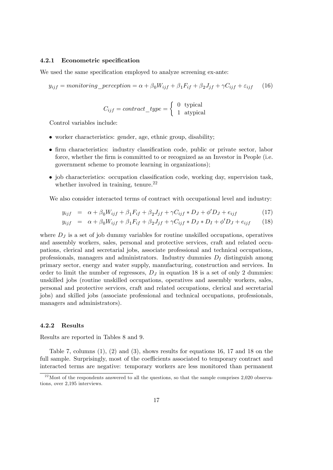### 4.2.1 Econometric specification

We used the same specification employed to analyze screening ex-ante:

$$
y_{ijf} = monitoring\_perception = \alpha + \beta_0 W_{ijf} + \beta_1 F_{if} + \beta_2 J_{jf} + \gamma C_{ijf} + \varepsilon_{ijf} \tag{16}
$$

$$
C_{ijf} = contract\_type = \left\{ \begin{array}{ll} 0 & \text{typical} \\ 1 & \text{atypical} \end{array} \right.
$$

Control variables include:

- worker characteristics: gender, age, ethnic group, disability;
- firm characteristics: industry classification code, public or private sector, labor force, whether the firm is committed to or recognized as an Investor in People (i.e. government scheme to promote learning in organizations);
- $\bullet$  job characteristics: occupation classification code, working day, supervision task, whether involved in training, tenure.<sup>22</sup>

We also consider interacted terms of contract with occupational level and industry:

$$
y_{ijf} = \alpha + \beta_0 W_{ijf} + \beta_1 F_{if} + \beta_2 J_{jf} + \gamma C_{ijf} * D_J + \phi' D_J + e_{ijf}
$$
 (17)

$$
y_{ijf} = \alpha + \beta_0 W_{ijf} + \beta_1 F_{if} + \beta_2 J_{jf} + \gamma C_{ijf} * D_J * D_I + \phi' D_J + e_{ijf} \tag{18}
$$

where  $D_J$  is a set of job dummy variables for routine unskilled occupations, operatives and assembly workers, sales, personal and protective services, craft and related occupations, clerical and secretarial jobs, associate professional and technical occupations, professionals, managers and administrators. Industry dummies  $D<sub>I</sub>$  distinguish among primary sector, energy and water supply, manufacturing, construction and services. In order to limit the number of regressors,  $D_J$  in equation 18 is a set of only 2 dummies: unskilled jobs (routine unskilled occupations, operatives and assembly workers, sales, personal and protective services, craft and related occupations, clerical and secretarial jobs) and skilled jobs (associate professional and technical occupations, professionals, managers and administrators).

#### 4.2.2 Results

Results are reported in Tables 8 and 9.

Table 7, columns  $(1)$ ,  $(2)$  and  $(3)$ , shows results for equations 16, 17 and 18 on the full sample. Surprisingly, most of the coefficients associated to temporary contract and interacted terms are negative: temporary workers are less monitored than permanent

 $^{22}$ Most of the respondents answered to all the questions, so that the sample comprises 2,020 observations, over 2,195 interviews.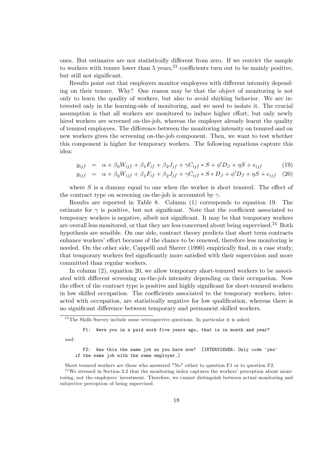ones. But estimates are not statistically different from zero. If we restrict the sample to workers with tenure lower than 5 years,  $23$  coefficients turn out to be mainly positive, but still not significant.

Results point out that employers monitor employees with different intensity depending on their tenure. Why? One reason may be that the object of monitoring is not only to learn the quality of workers, but also to avoid shirking behavior. We are interested only in the learning-side of monitoring, and we need to isolate it. The crucial assumption is that all workers are monitored to induce higher effort, but only newly hired workers are screened on-the-job, whereas the employer already learnt the quality of tenured employees. The difference between the monitoring intensity on tenured and on new workers gives the screening on-the-job component. Then, we want to test whether this component is higher for temporary workers. The following equations capture this idea:

$$
y_{ijf} = \alpha + \beta_0 W_{ijf} + \beta_1 F_{if} + \beta_2 J_{jf} + \gamma C_{ijf} * S + \phi' D_J + \eta S + e_{ijf}
$$
(19)

$$
y_{ijf} = \alpha + \beta_0 W_{ijf} + \beta_1 F_{if} + \beta_2 J_{jf} + \gamma C_{ijf} * S * D_J + \phi' D_J + \eta S + e_{ijf} \quad (20)
$$

where  $S$  is a dummy equal to one when the worker is short tenured. The effect of the contract type on screening on-the-job is accounted by  $\gamma$ .

Results are reported in Table 8. Column (1) corresponds to equation 19. The estimate for  $\gamma$  is positive, but not significant. Note that the coefficient associated to temporary workers is negative, albeit not significant. It may be that temporary workers are overall less monitored, or that they are less concerned about being supervised.<sup>24</sup> Both hypothesis are sensible. On one side, contract theory predicts that short term contracts enhance workers' effort because of the chance to be renewed, therefore less monitoring is needed. On the other side, Cappelli and Sherer (1990) empirically find, in a case study, that temporary workers feel significantly more satisfied with their supervision and more committed than regular workers.

In column (2), equation 20, we allow temporary short-tenured workers to be associated with different screening on-the-job intensity depending on their occupation. Now the effect of the contract type is positive and highly significant for short-tenured workers in low skilled occupation. The coefficients associated to the temporary workers, interacted with occupation, are statistically negative for low qualification, whereas there is no significant difference between temporary and permanent skilled workers.

F1: Were you in a paid work five years ago, that is in month and year?

and:

F2: Was this the same job as you have now? [INTERVIEWER: Only code 'yes' if the same job with the same employer.]

Short tenured workers are those who answered "No" either to question F1 or to question F2.  $2<sup>24</sup>$ We stressed in Section 3.2 that the monitoring index captures the workers' perception about monitoring, not the employers' investment. Therefore, we cannot distinguish between actual monitoring and subjective perception of being supervised.

 $23$ The Skills Survey include some retrospective questions. In particular it is asked: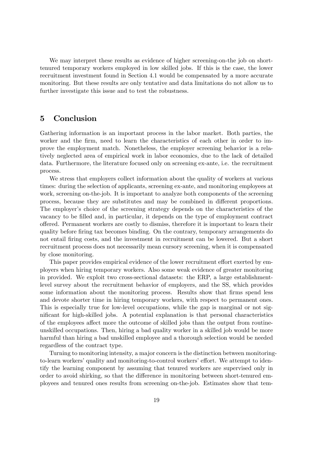We may interpret these results as evidence of higher screening-on-the job on shorttenured temporary workers employed in low skilled jobs. If this is the case, the lower recruitment investment found in Section 4.1 would be compensated by a more accurate monitoring. But these results are only tentative and data limitations do not allow us to further investigate this issue and to test the robustness.

## 5 Conclusion

Gathering information is an important process in the labor market. Both parties, the worker and the firm, need to learn the characteristics of each other in order to improve the employment match. Nonetheless, the employer screening behavior is a relatively neglected area of empirical work in labor economics, due to the lack of detailed data. Furthermore, the literature focused only on screening ex-ante, i.e. the recruitment process.

We stress that employers collect information about the quality of workers at various times: during the selection of applicants, screening ex-ante, and monitoring employees at work, screening on-the-job. It is important to analyze both components of the screening process, because they are substitutes and may be combined in different proportions. The employer's choice of the screening strategy depends on the characteristics of the vacancy to be filled and, in particular, it depends on the type of employment contract o§ered. Permanent workers are costly to dismiss, therefore it is important to learn their quality before Öring tax becomes binding. On the contrary, temporary arrangements do not entail Öring costs, and the investment in recruitment can be lowered. But a short recruitment process does not necessarily mean cursory screening, when it is compensated by close monitoring.

This paper provides empirical evidence of the lower recruitment effort exerted by employers when hiring temporary workers. Also some weak evidence of greater monitoring in provided. We exploit two cross-sectional datasets: the ERP, a large establishmentlevel survey about the recruitment behavior of employers, and the SS, which provides some information about the monitoring process. Results show that firms spend less and devote shorter time in hiring temporary workers, with respect to permanent ones. This is especially true for low-level occupations, while the gap is marginal or not significant for high-skilled jobs. A potential explanation is that personal characteristics of the employees affect more the outcome of skilled jobs than the output from routineunskilled occupations. Then, hiring a bad quality worker in a skilled job would be more harmful than hiring a bad unskilled employee and a thorough selection would be needed regardless of the contract type.

Turning to monitoring intensity, a major concern is the distinction between monitoringto-learn workers' quality and monitoring-to-control workers' effort. We attempt to identify the learning component by assuming that tenured workers are supervised only in order to avoid shirking, so that the difference in monitoring between short-tenured employees and tenured ones results from screening on-the-job. Estimates show that tem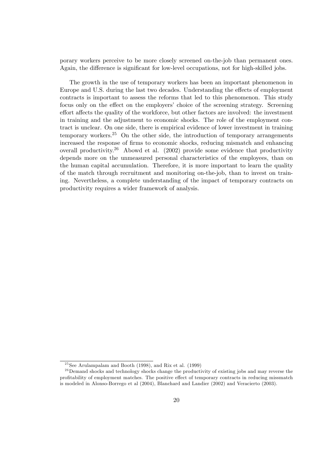porary workers perceive to be more closely screened on-the-job than permanent ones. Again, the difference is significant for low-level occupations, not for high-skilled jobs.

The growth in the use of temporary workers has been an important phenomenon in Europe and U.S. during the last two decades. Understanding the effects of employment contracts is important to assess the reforms that led to this phenomenon. This study focus only on the effect on the employers' choice of the screening strategy. Screening effort affects the quality of the workforce, but other factors are involved: the investment in training and the adjustment to economic shocks. The role of the employment contract is unclear. On one side, there is empirical evidence of lower investment in training temporary workers.<sup>25</sup> On the other side, the introduction of temporary arrangements increased the response of firms to economic shocks, reducing mismatch and enhancing overall productivity.<sup>26</sup> Abowd et al.  $(2002)$  provide some evidence that productivity depends more on the unmeasured personal characteristics of the employees, than on the human capital accumulation. Therefore, it is more important to learn the quality of the match through recruitment and monitoring on-the-job, than to invest on training. Nevertheless, a complete understanding of the impact of temporary contracts on productivity requires a wider framework of analysis.

 $25$ See Arulampalam and Booth (1998), and Rix et al. (1999)

<sup>&</sup>lt;sup>26</sup>Demand shocks and technology shocks change the productivity of existing jobs and may reverse the profitability of employment matches. The positive effect of temporary contracts in reducing missmatch is modeled in Alonso-Borrego et al (2004), Blanchard and Landier (2002) and Veracierto (2003).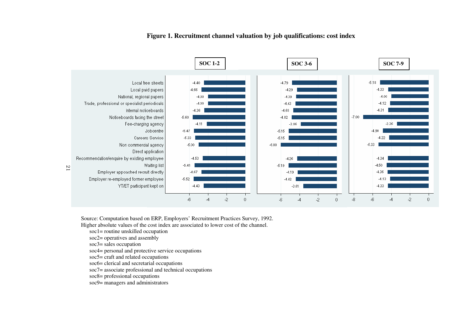

## **Figure 1. Recruitment channel valuation by job qualifications: cost index**

Source: Computation based on ERP, Employers' Recruitment Practices Survey, 1992. Higher absolute values of the cost index are associated to lower cost of the channel.

soc1= routine unskilled occupation

soc2= operatives and assembly

soc3= sales occupation

soc4= personal and protective service occupations

soc5= craft and related occupations

soc6= clerical and secretarial occupations

soc7= associate professional and technical occupations

soc8= professional occupations

soc9= managers and administrators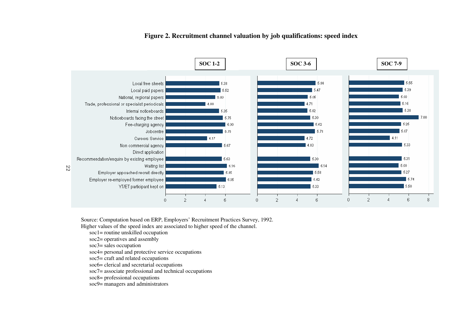

## **Figure 2. Recruitment channel valuation by job qualifications: speed index**

Source: Computation based on ERP, Employers' Recruitment Practices Survey, 1992.

Higher values of the speed index are associated to higher speed of the channel.

soc1= routine unskilled occupation

- soc2= operatives and assembly
- soc3= sales occupation
- soc4= personal and protective service occupations

soc5= craft and related occupations

soc6= clerical and secretarial occupations

soc7= associate professional and technical occupations

soc8= professional occupations

soc9= managers and administrators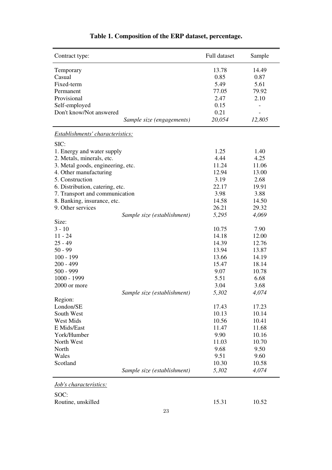| Contract type:                          |                             | Full dataset | Sample |
|-----------------------------------------|-----------------------------|--------------|--------|
| Temporary                               |                             | 13.78        | 14.49  |
| Casual                                  |                             | 0.85         | 0.87   |
| Fixed-term                              |                             | 5.49         | 5.61   |
| Permanent                               |                             | 77.05        | 79.92  |
| Provisional                             |                             | 2.47         | 2.10   |
| Self-employed                           |                             | 0.15         |        |
| Don't know/Not answered                 |                             | 0.21         |        |
|                                         | Sample size (engagements)   | 20,054       | 12,805 |
| <b>Establishments' characteristics:</b> |                             |              |        |
| SIC:                                    |                             |              |        |
| 1. Energy and water supply              |                             | 1.25         | 1.40   |
| 2. Metals, minerals, etc.               |                             | 4.44         | 4.25   |
| 3. Metal goods, engineering, etc.       |                             | 11.24        | 11.06  |
| 4. Other manufacturing                  |                             | 12.94        | 13.00  |
| 5. Construction                         |                             | 3.19         | 2.68   |
| 6. Distribution, catering, etc.         |                             | 22.17        | 19.91  |
| 7. Transport and communication          |                             | 3.98         | 3.88   |
| 8. Banking, insurance, etc.             |                             | 14.58        | 14.50  |
| 9. Other services                       |                             | 26.21        | 29.32  |
|                                         | Sample size (establishment) | 5,295        | 4,069  |
| Size:                                   |                             |              |        |
| $3 - 10$                                |                             | 10.75        | 7.90   |
| $11 - 24$                               |                             | 14.18        | 12.00  |
| $25 - 49$                               |                             | 14.39        | 12.76  |
| $50 - 99$                               |                             | 13.94        | 13.87  |
| $100 - 199$                             |                             | 13.66        | 14.19  |
| 200 - 499                               |                             | 15.47        | 18.14  |
| $500 - 999$                             |                             | 9.07         | 10.78  |
| 1000 - 1999                             |                             | 5.51         | 6.68   |
| 2000 or more                            |                             | 3.04         | 3.68   |
|                                         | Sample size (establishment) | 5,302        | 4,074  |
| Region:                                 |                             |              |        |
| London/SE                               |                             | 17.43        | 17.23  |
| South West                              |                             | 10.13        | 10.14  |
| <b>West Mids</b>                        |                             | 10.56        | 10.41  |
| E Mids/East                             |                             | 11.47        | 11.68  |
| York/Humber                             |                             | 9.90         | 10.16  |
| North West                              |                             | 11.03        | 10.70  |
| North                                   |                             | 9.68         | 9.50   |
| Wales                                   |                             | 9.51         | 9.60   |
| Scotland                                |                             | 10.30        | 10.58  |
|                                         | Sample size (establishment) | 5,302        | 4,074  |

## **Table 1. Composition of the ERP dataset, percentage.**

*Job's characteristics:* 

SOC:

Routine, unskilled 15.31 10.52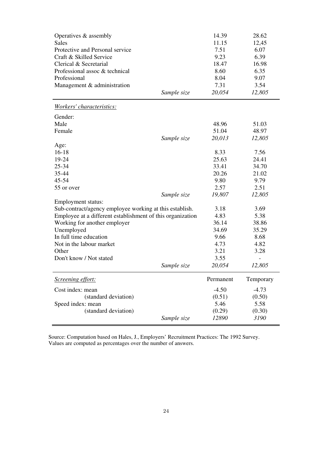| Operatives & assembly<br>Sales<br>Protective and Personal service<br>Craft & Skilled Service<br>Clerical & Secretarial<br>Professional assoc & technical<br>Professional<br>Management & administration | Sample size | 14.39<br>11.15<br>7.51<br>9.23<br>18.47<br>8.60<br>8.04<br>7.31<br>20,054 | 28.62<br>12,45<br>6.07<br>6.39<br>16.98<br>6.35<br>9.07<br>3.54<br>12,805 |
|---------------------------------------------------------------------------------------------------------------------------------------------------------------------------------------------------------|-------------|---------------------------------------------------------------------------|---------------------------------------------------------------------------|
| Workers' characteristics:                                                                                                                                                                               |             |                                                                           |                                                                           |
| Gender:                                                                                                                                                                                                 |             |                                                                           |                                                                           |
| Male                                                                                                                                                                                                    |             | 48.96                                                                     | 51.03                                                                     |
| Female                                                                                                                                                                                                  |             | 51.04                                                                     | 48.97                                                                     |
|                                                                                                                                                                                                         | Sample size | 20,013                                                                    | 12,805                                                                    |
| Age:                                                                                                                                                                                                    |             |                                                                           |                                                                           |
| $16 - 18$                                                                                                                                                                                               |             | 8.33                                                                      | 7.56                                                                      |
| 19-24                                                                                                                                                                                                   |             | 25.63                                                                     | 24.41                                                                     |
| 25-34                                                                                                                                                                                                   |             | 33.41                                                                     | 34.70                                                                     |
| 35-44                                                                                                                                                                                                   |             | 20.26                                                                     | 21.02                                                                     |
| 45-54                                                                                                                                                                                                   |             | 9.80                                                                      | 9.79                                                                      |
| 55 or over                                                                                                                                                                                              |             | 2.57                                                                      | 2.51                                                                      |
|                                                                                                                                                                                                         | Sample size | 19,807                                                                    | 12,805                                                                    |
| Employment status:                                                                                                                                                                                      |             |                                                                           |                                                                           |
| Sub-contract/agency employee working at this establish.                                                                                                                                                 |             | 3.18                                                                      | 3.69                                                                      |
| Employee at a different establishment of this organization                                                                                                                                              |             | 4.83                                                                      | 5.38                                                                      |
| Working for another employer                                                                                                                                                                            |             | 36.14                                                                     | 38.86                                                                     |
| Unemployed                                                                                                                                                                                              |             | 34.69                                                                     | 35.29                                                                     |
| In full time education                                                                                                                                                                                  |             | 9.66                                                                      | 8.68                                                                      |
| Not in the labour market                                                                                                                                                                                |             | 4.73                                                                      | 4.82                                                                      |
| Other                                                                                                                                                                                                   |             | 3.21                                                                      | 3.28                                                                      |
| Don't know / Not stated                                                                                                                                                                                 |             | 3.55                                                                      |                                                                           |
|                                                                                                                                                                                                         | Sample size | 20,054                                                                    | 12,805                                                                    |
| <b>Screening effort:</b>                                                                                                                                                                                |             | Permanent                                                                 | Temporary                                                                 |
| Cost index: mean                                                                                                                                                                                        |             | $-4.50$                                                                   | $-4.73$                                                                   |
| (standard deviation)                                                                                                                                                                                    |             | (0.51)                                                                    | (0.50)                                                                    |
| Speed index: mean                                                                                                                                                                                       |             | 5.46                                                                      | 5.58                                                                      |
| (standard deviation)                                                                                                                                                                                    |             | (0.29)                                                                    | (0.30)                                                                    |
|                                                                                                                                                                                                         | Sample size | 12890                                                                     | 3190                                                                      |

Source: Computation based on Hales, J., Employers' Recruitment Practices: The 1992 Survey. Values are computed as percentages over the number of answers.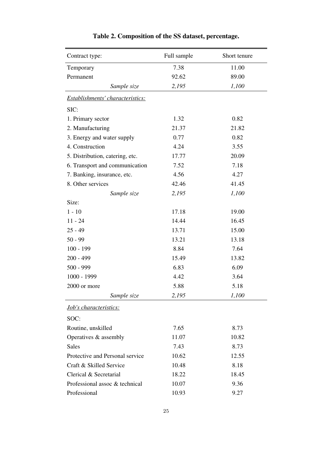| Contract type:                   | Full sample | Short tenure |
|----------------------------------|-------------|--------------|
| Temporary                        | 7.38        | 11.00        |
| Permanent                        | 92.62       | 89.00        |
| Sample size                      | 2,195       | 1,100        |
| Establishments' characteristics: |             |              |
| SIC:                             |             |              |
| 1. Primary sector                | 1.32        | 0.82         |
| 2. Manufacturing                 | 21.37       | 21.82        |
| 3. Energy and water supply       | 0.77        | 0.82         |
| 4. Construction                  | 4.24        | 3.55         |
| 5. Distribution, catering, etc.  | 17.77       | 20.09        |
| 6. Transport and communication   | 7.52        | 7.18         |
| 7. Banking, insurance, etc.      | 4.56        | 4.27         |
| 8. Other services                | 42.46       | 41.45        |
| Sample size                      | 2,195       | 1,100        |
| Size:                            |             |              |
| $1 - 10$                         | 17.18       | 19.00        |
| $11 - 24$                        | 14.44       | 16.45        |
| $25 - 49$                        | 13.71       | 15.00        |
| $50 - 99$                        | 13.21       | 13.18        |
| $100 - 199$                      | 8.84        | 7.64         |
| $200 - 499$                      | 15.49       | 13.82        |
| $500 - 999$                      | 6.83        | 6.09         |
| 1000 - 1999                      | 4.42        | 3.64         |
| 2000 or more                     | 5.88        | 5.18         |
| Sample size                      | 2,195       | 1,100        |
| <b>Job's characteristics:</b>    |             |              |
| SOC:                             |             |              |
| Routine, unskilled               | 7.65        | 8.73         |
| Operatives & assembly            | 11.07       | 10.82        |
| Sales                            | 7.43        | 8.73         |
| Protective and Personal service  | 10.62       | 12.55        |
| Craft & Skilled Service          | 10.48       | 8.18         |
| Clerical & Secretarial           | 18.22       | 18.45        |
| Professional assoc & technical   | 10.07       | 9.36         |
| Professional                     | 10.93       | 9.27         |

## **Table 2. Composition of the SS dataset, percentage.**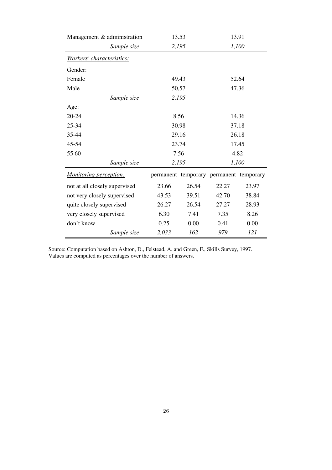| Management & administration   |             |       | 13.53 | 13.91                                   |       |  |
|-------------------------------|-------------|-------|-------|-----------------------------------------|-------|--|
|                               | Sample size |       | 2,195 |                                         | 1,100 |  |
| Workers' characteristics:     |             |       |       |                                         |       |  |
| Gender:                       |             |       |       |                                         |       |  |
| Female                        |             | 49.43 |       | 52.64                                   |       |  |
| Male                          |             | 50,57 |       | 47.36                                   |       |  |
|                               | Sample size | 2,195 |       |                                         |       |  |
| Age:                          |             |       |       |                                         |       |  |
| 20-24                         |             |       | 8.56  | 14.36                                   |       |  |
| 25-34                         |             | 30.98 |       | 37.18                                   |       |  |
| 35-44                         |             | 29.16 |       | 26.18                                   |       |  |
| 45-54                         |             | 23.74 |       | 17.45                                   |       |  |
| 55 60                         |             | 7.56  |       | 4.82                                    |       |  |
|                               | Sample size | 2,195 |       | 1,100                                   |       |  |
| <b>Monitoring perception:</b> |             |       |       | permanent temporary permanent temporary |       |  |
| not at all closely supervised |             | 23.66 | 26.54 | 22.27                                   | 23.97 |  |
| not very closely supervised   |             | 43.53 | 39.51 | 42.70                                   | 38.84 |  |
| quite closely supervised      |             | 26.27 | 26.54 | 27.27                                   | 28.93 |  |
| very closely supervised       |             | 6.30  | 7.41  | 7.35                                    | 8.26  |  |
| don't know                    |             | 0.25  | 0.00  | 0.41                                    | 0.00  |  |
|                               | Sample size | 2,033 | 162   | 979                                     | 121   |  |

Source: Computation based on Ashton, D., Felstead, A. and Green, F., Skills Survey, 1997. Values are computed as percentages over the number of answers.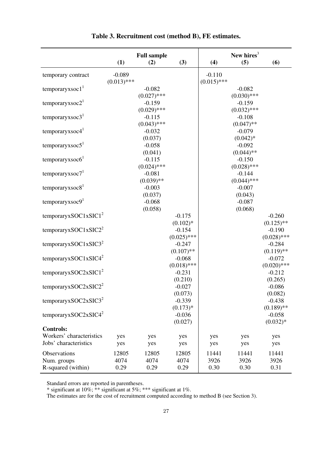|                                                   |                           | <b>Full sample</b>        |                                   |                           | New hires $3$             |                                        |
|---------------------------------------------------|---------------------------|---------------------------|-----------------------------------|---------------------------|---------------------------|----------------------------------------|
|                                                   | (1)                       | (2)                       | (3)                               | (4)                       | (5)                       | (6)                                    |
| temporary contract                                | $-0.089$<br>$(0.013)$ *** |                           |                                   | $-0.110$<br>$(0.015)$ *** |                           |                                        |
| temporaryxsoc $1T$                                |                           | $-0.082$<br>$(0.027)$ *** |                                   |                           | $-0.082$<br>$(0.030)$ *** |                                        |
| temporaryxsoc $21$                                |                           | $-0.159$                  |                                   |                           | $-0.159$                  |                                        |
| temporaryxsoc $31$                                |                           | $(0.029)$ ***<br>$-0.115$ |                                   |                           | $(0.032)$ ***<br>$-0.108$ |                                        |
| temporaryxsoc4 $1$                                |                           | $(0.043)$ ***<br>$-0.032$ |                                   |                           | $(0.047)$ **<br>$-0.079$  |                                        |
| temporaryxsoc $51$                                |                           | (0.037)<br>$-0.058$       |                                   |                           | $(0.042)*$<br>$-0.092$    |                                        |
| temporaryxsoc6 <sup>1</sup>                       |                           | (0.041)<br>$-0.115$       |                                   |                           | $(0.044)$ **<br>$-0.150$  |                                        |
| temporaryxsoc $71$                                |                           | $(0.024)$ ***<br>$-0.081$ |                                   |                           | $(0.028)$ ***<br>$-0.144$ |                                        |
| temporaryxsoc $81$                                |                           | $(0.039)$ **<br>$-0.003$  |                                   |                           | $(0.044)$ ***<br>$-0.007$ |                                        |
| temporaryxsoc $91$                                |                           | (0.037)<br>$-0.068$       |                                   |                           | (0.043)<br>$-0.087$       |                                        |
| temporaryxSOC1xSIC1 <sup>2</sup>                  |                           | (0.058)                   | $-0.175$                          |                           | (0.068)                   | $-0.260$                               |
| temporaryxSOC1xSIC2 <sup>2</sup>                  |                           |                           | $(0.102)*$<br>$-0.154$            |                           |                           | $(0.125)$ **<br>$-0.190$               |
| temporaryxSOC1xSIC3 <sup>2</sup>                  |                           |                           | $(0.025)$ ***<br>$-0.247$         |                           |                           | $(0.028)$ ***<br>$-0.284$              |
| temporaryxSOC1xSIC4 <sup>2</sup>                  |                           |                           | $(0.107)$ **<br>$-0.068$          |                           |                           | $(0.119)$ **<br>$-0.072$               |
| temporaryxSOC2xSIC1 <sup>2</sup>                  |                           |                           | $(0.018)$ ***<br>$-0.231$         |                           |                           | $(0.020)$ ***<br>$-0.212$              |
| temporaryxSOC2xSIC2 <sup>2</sup>                  |                           |                           | (0.210)<br>$-0.027$               |                           |                           | (0.265)<br>$-0.086$                    |
| temporaryxSOC2xSIC3 <sup>2</sup>                  |                           |                           | (0.073)<br>$-0.339$               |                           |                           | (0.082)<br>$-0.438$                    |
| temporaryxSOC2xSIC4 <sup>2</sup>                  |                           |                           | $(0.173)*$<br>$-0.036$<br>(0.027) |                           |                           | $(0.189)$ **<br>$-0.058$<br>$(0.032)*$ |
| <b>Controls:</b>                                  |                           |                           |                                   |                           |                           |                                        |
| Workers' characteristics                          | yes                       | yes                       | yes                               | yes                       | yes                       | yes                                    |
| Jobs' characteristics                             | yes                       | yes                       | yes                               | yes                       | yes                       | yes                                    |
| Observations<br>Num. groups<br>R-squared (within) | 12805<br>4074<br>0.29     | 12805<br>4074<br>0.29     | 12805<br>4074<br>0.29             | 11441<br>3926<br>0.30     | 11441<br>3926<br>0.30     | 11441<br>3926<br>0.31                  |

**Table 3. Recruitment cost (method B), FE estimates.** 

\* significant at 10%; \*\* significant at 5%; \*\*\* significant at 1%.

The estimates are for the cost of recruitment computed according to method B (see Section 3).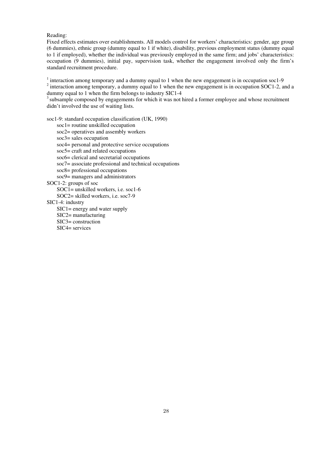#### Reading:

Fixed effects estimates over establishments. All models control for workers' characteristics: gender, age group (6 dummies), ethnic group (dummy equal to 1 if white), disability, previous employment status (dummy equal to 1 if employed), whether the individual was previously employed in the same firm; and jobs' characteristics: occupation (9 dummies), initial pay, supervision task, whether the engagement involved only the firm's standard recruitment procedure.

 $1$  interaction among temporary and a dummy equal to 1 when the new engagement is in occupation soc1-9

 $2$  interaction among temporary, a dummy equal to 1 when the new engagement is in occupation SOC1-2, and a dummy equal to 1 when the firm belongs to industry SIC1-4

<sup>3</sup> subsample composed by engagements for which it was not hired a former employee and whose recruitment didn't involved the use of waiting lists.

soc1-9: standard occupation classification (UK, 1990)

soc1= routine unskilled occupation soc2= operatives and assembly workers soc3= sales occupation soc4= personal and protective service occupations soc5= craft and related occupations soc6= clerical and secretarial occupations soc7= associate professional and technical occupations soc8= professional occupations soc9= managers and administrators SOC1-2: groups of soc SOC1= unskilled workers, i.e. soc1-6 SOC2= skilled workers, i.e. soc7-9 SIC1-4: industry SIC1= energy and water supply SIC2= manufacturing SIC3= construction

SIC4= services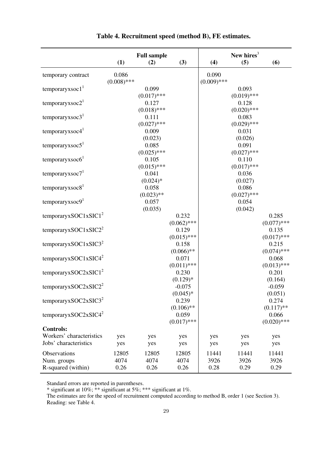|                                  |               | <b>Full sample</b>     |                        |               | New hires <sup>3</sup> |                     |
|----------------------------------|---------------|------------------------|------------------------|---------------|------------------------|---------------------|
|                                  | (1)           | (2)                    | (3)                    | (4)           | (5)                    | (6)                 |
|                                  | 0.086         |                        |                        | 0.090         |                        |                     |
| temporary contract               | $(0.008)$ *** |                        |                        | $(0.009)$ *** |                        |                     |
| temporaryxsoc $1T$               |               | 0.099                  |                        |               | 0.093                  |                     |
|                                  |               | $(0.017)$ ***          |                        |               | $(0.019)$ ***          |                     |
| temporaryxsoc $21$               |               | 0.127                  |                        |               | 0.128                  |                     |
|                                  |               | $(0.018)$ ***          |                        |               | $(0.020)$ ***          |                     |
| temporaryxsoc $31$               |               | 0.111                  |                        |               | 0.083                  |                     |
|                                  |               | $(0.027)$ ***          |                        |               | $(0.029)$ ***          |                     |
| temporaryx soc4 <sup>1</sup>     |               | 0.009                  |                        |               | 0.031                  |                     |
|                                  |               | (0.023)                |                        |               | (0.026)                |                     |
| temporaryxsoc $51$               |               | 0.085                  |                        |               | 0.091                  |                     |
|                                  |               | $(0.025)$ ***          |                        |               | $(0.027)$ ***          |                     |
| $temporaryx\,1$                  |               | 0.105<br>$(0.015)$ *** |                        |               | 0.110<br>$(0.017)$ *** |                     |
| temporaryxsoc $71$               |               | 0.041                  |                        |               | 0.036                  |                     |
|                                  |               | $(0.024)*$             |                        |               | (0.027)                |                     |
| temporaryxsoc $81$               |               | 0.058                  |                        |               | 0.086                  |                     |
|                                  |               | $(0.023)$ **           |                        |               | $(0.027)$ ***          |                     |
| temporaryxsoc9 <sup>1</sup>      |               | 0.057                  |                        |               | 0.054                  |                     |
|                                  |               | (0.035)                |                        |               | (0.042)                |                     |
| temporaryxSOC1xSIC1 <sup>2</sup> |               |                        | 0.232                  |               |                        | 0.285               |
|                                  |               |                        | $(0.062)$ ***          |               |                        | $(0.077)$ ***       |
| temporaryxSOC1xSIC2 <sup>2</sup> |               |                        | 0.129                  |               |                        | 0.135               |
|                                  |               |                        | $(0.015)$ ***          |               |                        | $(0.017)$ ***       |
| temporaryxSOC1xSIC3 <sup>2</sup> |               |                        | 0.158                  |               |                        | 0.215               |
|                                  |               |                        | $(0.066)$ **           |               |                        | $(0.074)$ ***       |
| temporaryxSOC1xSIC4 <sup>2</sup> |               |                        | 0.071                  |               |                        | 0.068               |
|                                  |               |                        | $(0.011)$ ***          |               |                        | $(0.013)$ ***       |
| temporaryxSOC2xSIC1 <sup>2</sup> |               |                        | 0.230                  |               |                        | 0.201               |
| temporaryxSOC2xSIC2 <sup>2</sup> |               |                        | $(0.129)*$<br>$-0.075$ |               |                        | (0.164)<br>$-0.059$ |
|                                  |               |                        | $(0.045)*$             |               |                        | (0.051)             |
| temporaryxSOC2xSIC3 <sup>2</sup> |               |                        | 0.239                  |               |                        | 0.274               |
|                                  |               |                        | $(0.106)$ **           |               |                        | $(0.117)$ **        |
| temporaryxSOC2xSIC4 <sup>2</sup> |               |                        | 0.059                  |               |                        | 0.066               |
|                                  |               |                        | $(0.017)$ ***          |               |                        | $(0.020)$ ***       |
| <b>Controls:</b>                 |               |                        |                        |               |                        |                     |
| Workers' characteristics         | yes           | yes                    | yes                    | yes           | yes                    | yes                 |
| Jobs' characteristics            | yes           | yes                    | yes                    | yes           | yes                    | yes                 |
| Observations                     | 12805         | 12805                  | 12805                  | 11441         | 11441                  | 11441               |
| Num. groups                      | 4074          | 4074                   | 4074                   | 3926          | 3926                   | 3926                |
| R-squared (within)               | 0.26          | 0.26                   | 0.26                   | 0.28          | 0.29                   | 0.29                |

**Table 4. Recruitment speed (method B), FE estimates.** 

\* significant at 10%; \*\* significant at 5%; \*\*\* significant at 1%.

The estimates are for the speed of recruitment computed according to method B, order 1 (see Section 3). Reading: see Table 4.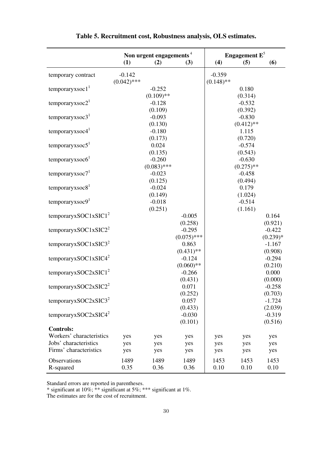|                                  |               | Non urgent engagements <sup>4</sup> |               |              | Engagement $E^5$ |            |
|----------------------------------|---------------|-------------------------------------|---------------|--------------|------------------|------------|
|                                  | (1)           | (2)                                 | (3)           | (4)          | (5)              | (6)        |
| temporary contract               | $-0.142$      |                                     |               | $-0.359$     |                  |            |
|                                  | $(0.042)$ *** |                                     |               | $(0.148)$ ** |                  |            |
| temporaryxsoc $11$               |               | $-0.252$                            |               |              | 0.180            |            |
|                                  |               | $(0.109)$ **                        |               |              | (0.314)          |            |
| temporaryxsoc $21$               |               | $-0.128$                            |               |              | $-0.532$         |            |
|                                  |               | (0.109)                             |               |              | (0.392)          |            |
| temporaryxsoc $31$               |               | $-0.093$                            |               |              | $-0.830$         |            |
|                                  |               | (0.130)                             |               |              | $(0.412)$ **     |            |
| temporaryxsoc4 $1$               |               | $-0.180$                            |               |              | 1.115            |            |
|                                  |               | (0.173)                             |               |              | (0.720)          |            |
| temporaryxsoc $51$               |               | 0.024                               |               |              | $-0.574$         |            |
|                                  |               | (0.135)                             |               |              | (0.543)          |            |
| temporaryxsoc $61$               |               | $-0.260$                            |               |              | $-0.630$         |            |
|                                  |               | $(0.083)$ ***                       |               |              | $(0.275)$ **     |            |
| temporaryxsoc $71$               |               | $-0.023$                            |               |              | $-0.458$         |            |
|                                  |               | (0.125)                             |               |              | (0.494)          |            |
| temporaryxsoc $81$               |               | $-0.024$                            |               |              | 0.179            |            |
|                                  |               | (0.149)                             |               |              | (1.024)          |            |
| temporaryxsoc $91$               |               | $-0.018$                            |               |              | $-0.514$         |            |
|                                  |               | (0.251)                             |               |              | (1.161)          |            |
| temporaryxSOC1xSIC1 <sup>2</sup> |               |                                     | $-0.005$      |              |                  | 0.164      |
|                                  |               |                                     | (0.258)       |              |                  | (0.921)    |
| temporaryxSOC1xSIC2 <sup>2</sup> |               |                                     | $-0.295$      |              |                  | $-0.422$   |
|                                  |               |                                     | $(0.075)$ *** |              |                  | $(0.239)*$ |
| temporaryxSOC1xSIC3 <sup>2</sup> |               |                                     | 0.863         |              |                  | $-1.167$   |
|                                  |               |                                     | $(0.431)$ **  |              |                  | (0.908)    |
| temporaryxSOC1xSIC4 <sup>2</sup> |               |                                     | $-0.124$      |              |                  | $-0.294$   |
|                                  |               |                                     | $(0.060)$ **  |              |                  | (0.210)    |
| temporaryxSOC2xSIC1 <sup>2</sup> |               |                                     | $-0.266$      |              |                  | 0.000      |
|                                  |               |                                     | (0.431)       |              |                  | (0.000)    |
| temporaryxSOC2xSIC2 <sup>2</sup> |               |                                     | 0.071         |              |                  | $-0.258$   |
|                                  |               |                                     | (0.252)       |              |                  | (0.703)    |
| temporaryxSOC2xSIC3 <sup>2</sup> |               |                                     | 0.057         |              |                  | $-1.724$   |
|                                  |               |                                     | (0.433)       |              |                  | (2.039)    |
| temporaryxSOC2xSIC4 <sup>2</sup> |               |                                     | $-0.030$      |              |                  | $-0.319$   |
|                                  |               |                                     | (0.101)       |              |                  | (0.516)    |
| <b>Controls:</b>                 |               |                                     |               |              |                  |            |
| Workers' characteristics         | yes           | yes                                 | yes           | yes          | yes              | yes        |
| Jobs' characteristics            | yes           | yes                                 | yes           | yes          | yes              | yes        |
| Firms' characteristics           | yes           | yes                                 | yes           | yes          | yes              | yes        |
| Observations                     | 1489          | 1489                                | 1489          | 1453         | 1453             | 1453       |
| R-squared                        | 0.35          | 0.36                                | 0.36          | 0.10         | 0.10             | 0.10       |

**Table 5. Recruitment cost, Robustness analysis, OLS estimates.** 

\* significant at 10%; \*\* significant at 5%; \*\*\* significant at 1%.

The estimates are for the cost of recruitment.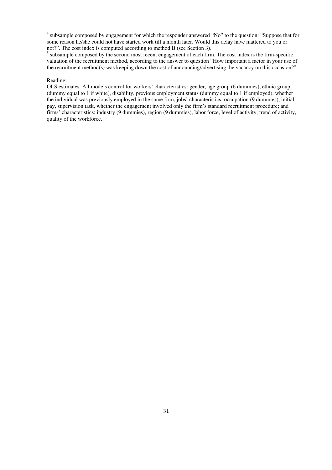<sup>4</sup> subsample composed by engagement for which the responder answered "No" to the question: "Suppose that for some reason he/she could not have started work till a month later. Would this delay have mattered to you or not?". The cost index is computed according to method B (see Section 3).

<sup>5</sup> subsample composed by the second most recent engagement of each firm. The cost index is the firm-specific valuation of the recruitment method, according to the answer to question "How important a factor in your use of the recruitment method(s) was keeping down the cost of announcing/advertising the vacancy on this occasion?"

### Reading:

OLS estimates. All models control for workers' characteristics: gender, age group (6 dummies), ethnic group (dummy equal to 1 if white), disability, previous employment status (dummy equal to 1 if employed), whether the individual was previously employed in the same firm; jobs' characteristics: occupation (9 dummies), initial pay, supervision task, whether the engagement involved only the firm's standard recruitment procedure; and firms' characteristics: industry (9 dummies), region (9 dummies), labor force, level of activity, trend of activity, quality of the workforce.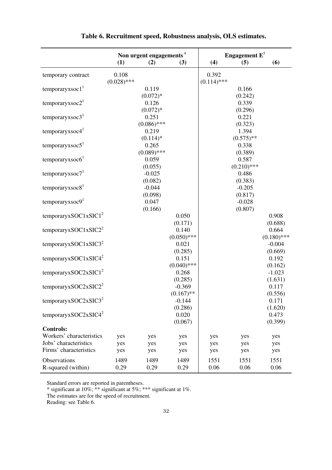|                                    | Non urgent engagements <sup>4</sup> |                        | Engagement $E^5$                    |                        |                        |                           |
|------------------------------------|-------------------------------------|------------------------|-------------------------------------|------------------------|------------------------|---------------------------|
|                                    | (1)                                 | (2)                    | (3)                                 | (4)                    | (5)                    | (6)                       |
| temporary contract                 | 0.108<br>$(0.028)$ ***              |                        |                                     | 0.392<br>$(0.114)$ *** |                        |                           |
| temporaryxsoc $11$                 |                                     | 0.119<br>$(0.072)*$    |                                     |                        | 0.166<br>(0.242)       |                           |
| temporaryxsoc2 <sup>1</sup>        |                                     | 0.126                  |                                     |                        | 0.339                  |                           |
| temporaryxsoc $31$                 |                                     | $(0.072)*$<br>0.251    |                                     |                        | (0.296)<br>0.221       |                           |
| temporaryxsoc4 <sup>1</sup>        |                                     | $(0.086)$ ***<br>0.219 |                                     |                        | (0.323)<br>1.394       |                           |
| temporaryxsoc $51$                 |                                     | $(0.114)$ *<br>0.265   |                                     |                        | $(0.575)$ **<br>0.338  |                           |
| temporaryxsoc6 <sup>1</sup>        |                                     | $(0.089)$ ***<br>0.059 |                                     |                        | (0.389)<br>0.587       |                           |
| temporaryxsoc $71$                 |                                     | (0.055)<br>$-0.025$    |                                     |                        | $(0.210)$ ***<br>0.486 |                           |
| temporaryxsoc $81$                 |                                     | (0.082)<br>$-0.044$    |                                     |                        | (0.383)<br>$-0.205$    |                           |
| temporaryxsoc $91$                 |                                     | (0.098)<br>0.047       |                                     |                        | (0.817)<br>$-0.028$    |                           |
| temporaryxSOC1xSIC1 <sup>2</sup>   |                                     | (0.166)                | 0.050                               |                        | (0.807)                | 0.908                     |
| temporaryxSOC1xSIC2 <sup>2</sup>   |                                     |                        | (0.171)<br>0.140                    |                        |                        | (0.688)<br>0.664          |
| temporaryxSOC1xSIC3 <sup>2</sup>   |                                     |                        | $(0.050)$ ***<br>0.021              |                        |                        | $(0.180)$ ***<br>$-0.004$ |
| temporaryxSOC1xSIC4 <sup>2</sup>   |                                     |                        | (0.285)<br>0.151                    |                        |                        | (0.669)<br>0.192          |
| temporaryxSOC2xSIC1 <sup>2</sup>   |                                     |                        | $(0.040)$ ***<br>0.268              |                        |                        | (0.162)<br>$-1.023$       |
| temporaryxSOC2xSIC2 <sup>2</sup>   |                                     |                        | (0.285)<br>$-0.369$<br>$(0.167)$ ** |                        |                        | (1.631)<br>0.117          |
| temporaryxSOC2xSIC3 <sup>2</sup>   |                                     |                        | $-0.144$                            |                        |                        | (0.556)<br>0.171          |
| temporaryxSOC2xSIC4 <sup>2</sup>   |                                     |                        | (0.286)<br>0.020                    |                        |                        | (1.620)<br>0.473          |
| <b>Controls:</b>                   |                                     |                        | (0.067)                             |                        |                        | (0.399)                   |
| Workers' characteristics           | yes                                 | yes                    | yes                                 | yes                    | yes                    | yes                       |
| Jobs' characteristics              | yes                                 | yes                    | yes                                 | yes                    | yes                    | yes                       |
| Firms' characteristics             | yes                                 | yes                    | yes                                 | yes                    | yes                    | yes                       |
| Observations<br>R-squared (within) | 1489<br>0.29                        | 1489<br>0.29           | 1489<br>0.29                        | 1551<br>0.06           | 1551<br>0.06           | 1551<br>0.06              |

**Table 6. Recruitment speed, Robustness analysis, OLS estimates.** 

\* significant at 10%; \*\* significant at 5%; \*\*\* significant at 1%.

The estimates are for the speed of recruitment.

Reading: see Table 6.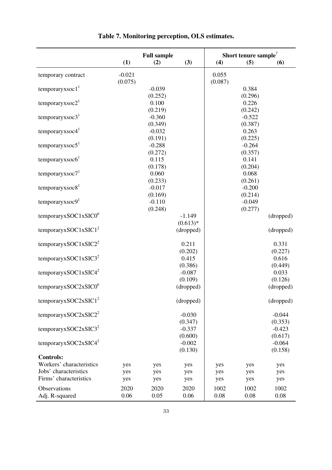|                                                 |            | <b>Full sample</b>  |                         |            | Short tenure sample <sup>7</sup> |                      |
|-------------------------------------------------|------------|---------------------|-------------------------|------------|----------------------------------|----------------------|
|                                                 | (1)        | (2)                 | (3)                     | (4)        | (5)                              | (6)                  |
| temporary contract                              | $-0.021$   |                     |                         | 0.055      |                                  |                      |
| temporaryxsoc $11$                              | (0.075)    | $-0.039$            |                         | (0.087)    | 0.384                            |                      |
| temporaryxsoc $21$                              |            | (0.252)<br>0.100    |                         |            | (0.296)<br>0.226                 |                      |
| temporaryxsoc $31$                              |            | (0.219)<br>$-0.360$ |                         |            | (0.242)<br>$-0.522$              |                      |
| temporaryxsoc4 $1$                              |            | (0.349)<br>$-0.032$ |                         |            | (0.387)<br>0.263                 |                      |
| temporaryxsoc $51$                              |            | (0.191)<br>$-0.288$ |                         |            | (0.225)<br>$-0.264$              |                      |
| temporaryxsoc $61$                              |            | (0.272)<br>0.115    |                         |            | (0.357)<br>0.141                 |                      |
| temporaryxsoc $71$                              |            | (0.178)<br>0.060    |                         |            | (0.204)<br>0.068                 |                      |
| temporaryxsoc $81$                              |            | (0.233)<br>$-0.017$ |                         |            | (0.261)<br>$-0.200$              |                      |
| temporaryxsoc $91$                              |            | (0.169)<br>$-0.110$ |                         |            | (0.214)<br>$-0.049$              |                      |
| temporaryxSOC1xSIC0 $6$                         |            | (0.248)             | $-1.149$                |            | (0.277)                          | (dropped)            |
| temporaryxSOC1xSIC1 <sup>2</sup>                |            |                     | $(0.613)*$<br>(dropped) |            |                                  | (dropped)            |
| temporaryxSOC1xSIC2 <sup>2</sup>                |            |                     | 0.211                   |            |                                  | 0.331                |
| temporaryxSOC1xSIC3 <sup>2</sup>                |            |                     | (0.202)<br>0.415        |            |                                  | (0.227)<br>0.616     |
| temporaryxSOC1xSIC4 <sup>2</sup>                |            |                     | (0.386)<br>$-0.087$     |            |                                  | (0.449)<br>0.033     |
| temporaryxSOC2xSIC0 $6$                         |            |                     | (0.109)<br>(dropped)    |            |                                  | (0.126)<br>(dropped) |
| temporaryxSOC2xSIC1 <sup>2</sup>                |            |                     | (dropped)               |            |                                  | (dropped)            |
| temporaryxSOC2xSIC2 <sup>2</sup>                |            |                     | $-0.030$                |            |                                  | $-0.044$             |
| temporaryxSOC2xSIC3 <sup>2</sup>                |            |                     | (0.347)<br>$-0.337$     |            |                                  | (0.353)<br>$-0.423$  |
| temporaryxSOC2xSIC4 <sup>2</sup>                |            |                     | (0.600)<br>$-0.002$     |            |                                  | (0.617)<br>$-0.064$  |
| <b>Controls:</b>                                |            |                     | (0.130)                 |            |                                  | (0.158)              |
| Workers' characteristics                        | yes        | yes                 | yes                     | yes        | yes                              | yes                  |
| Jobs' characteristics<br>Firms' characteristics | yes<br>yes | yes<br>yes          | yes<br>yes              | yes<br>yes | yes<br>yes                       | yes<br>yes           |
| Observations                                    | 2020       | 2020                | 2020                    | 1002       | 1002                             | 1002                 |
| Adj. R-squared                                  | 0.06       | 0.05                | 0.06                    | 0.08       | 0.08                             | 0.08                 |

**Table 7. Monitoring perception, OLS estimates.**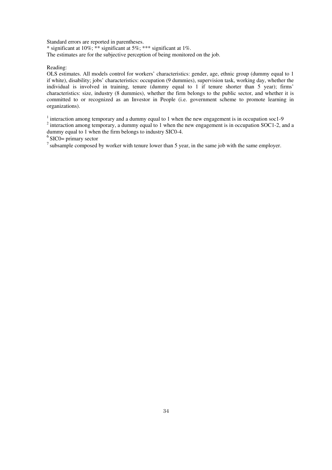\* significant at 10%; \*\* significant at 5%; \*\*\* significant at 1%. The estimates are for the subjective perception of being monitored on the job.

Reading:

OLS estimates. All models control for workers' characteristics: gender, age, ethnic group (dummy equal to 1 if white), disability; jobs' characteristics: occupation (9 dummies), supervision task, working day, whether the individual is involved in training, tenure (dummy equal to 1 if tenure shorter than 5 year); firms' characteristics: size, industry (8 dummies), whether the firm belongs to the public sector, and whether it is committed to or recognized as an Investor in People (i.e. government scheme to promote learning in organizations).

 $1$  interaction among temporary and a dummy equal to 1 when the new engagement is in occupation soc1-9  $2$  interaction among temporary, a dummy equal to 1 when the new engagement is in occupation SOC1-2, and a

dummy equal to 1 when the firm belongs to industry SIC0-4.

 $6$  SIC0= primary sector

 $<sup>7</sup>$  subsample composed by worker with tenure lower than 5 year, in the same job with the same employer.</sup>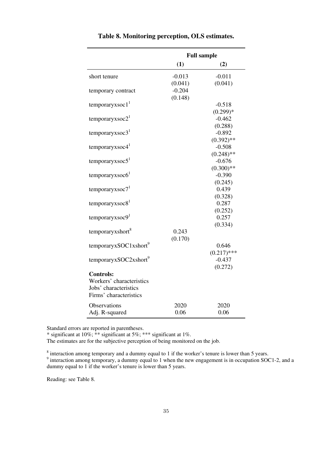|                                       | <b>Full sample</b> |                  |  |  |  |
|---------------------------------------|--------------------|------------------|--|--|--|
|                                       | (1)                | (2)              |  |  |  |
| short tenure                          | $-0.013$           | $-0.011$         |  |  |  |
|                                       | (0.041)            | (0.041)          |  |  |  |
| temporary contract                    | $-0.204$           |                  |  |  |  |
|                                       | (0.148)            |                  |  |  |  |
| temporaryxsoc $11$                    |                    | $-0.518$         |  |  |  |
|                                       |                    | $(0.299)*$       |  |  |  |
| temporaryxsoc2 <sup>1</sup>           |                    | $-0.462$         |  |  |  |
|                                       |                    | (0.288)          |  |  |  |
| temporaryxsoc $31$                    |                    | $-0.892$         |  |  |  |
|                                       |                    | $(0.392)$ **     |  |  |  |
| temporaryxsoc4 <sup>1</sup>           |                    | $-0.508$         |  |  |  |
|                                       |                    | $(0.248)$ **     |  |  |  |
| temporaryxsoc $51$                    |                    | $-0.676$         |  |  |  |
|                                       |                    | $(0.300)$ **     |  |  |  |
| $temporaryx\,6$                       |                    | $-0.390$         |  |  |  |
|                                       |                    | (0.245)<br>0.439 |  |  |  |
| temporaryxsoc7 <sup>1</sup>           |                    | (0.328)          |  |  |  |
| temporaryxsoc8 <sup>1</sup>           |                    | 0.287            |  |  |  |
|                                       |                    | (0.252)          |  |  |  |
| temporaryxsoc9 <sup>1</sup>           |                    | 0.257            |  |  |  |
|                                       |                    | (0.334)          |  |  |  |
| temporaryxshort <sup>8</sup>          | 0.243              |                  |  |  |  |
|                                       | (0.170)            |                  |  |  |  |
| temporaryxSOC1xshort <sup>9</sup>     |                    | 0.646            |  |  |  |
|                                       |                    | $(0.217)$ ***    |  |  |  |
| temporaryxSOC2xshort <sup>9</sup>     |                    | $-0.437$         |  |  |  |
|                                       |                    | (0.272)          |  |  |  |
| <b>Controls:</b>                      |                    |                  |  |  |  |
| Workers' characteristics              |                    |                  |  |  |  |
| Jobs' characteristics                 |                    |                  |  |  |  |
| Firms' characteristics                |                    |                  |  |  |  |
|                                       |                    |                  |  |  |  |
|                                       | 0.06               | 0.06             |  |  |  |
| <b>Observations</b><br>Adj. R-squared | 2020               | 2020             |  |  |  |

|  | Table 8. Monitoring perception, OLS estimates. |  |  |  |
|--|------------------------------------------------|--|--|--|
|--|------------------------------------------------|--|--|--|

\* significant at 10%; \*\* significant at 5%; \*\*\* significant at 1%.

The estimates are for the subjective perception of being monitored on the job.

<sup>8</sup> interaction among temporary and a dummy equal to 1 if the worker's tenure is lower than 5 years.<br><sup>9</sup> interaction among temporary, a dummy equal to 1 when the new engagement is in occupation SOC1-2, and a

dummy equal to 1 if the worker's tenure is lower than 5 years.

Reading: see Table 8.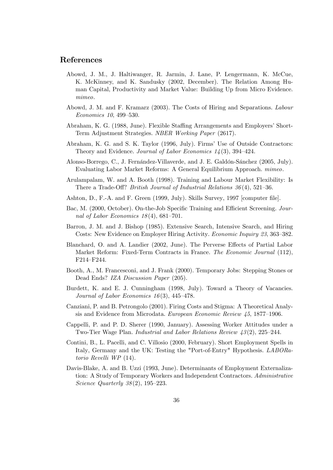## References

- Abowd, J. M., J. Haltiwanger, R. Jarmin, J. Lane, P. Lengermann, K. McCue, K. McKinney, and K. Sandusky (2002, December). The Relation Among Human Capital, Productivity and Market Value: Building Up from Micro Evidence. mimeo.
- Abowd, J. M. and F. Kramarz (2003). The Costs of Hiring and Separations. Labour  $Economics 10, 499-530.$
- Abraham, K. G. (1988, June). Flexible Sta¢ng Arrangements and Employersí Short-Term Adjustment Strategies. NBER Working Paper (2617).
- Abraham, K. G. and S. K. Taylor (1996, July). Firms' Use of Outside Contractors: Theory and Evidence. Journal of Labor Economics  $1/4(3)$ , 394-424.
- Alonso-Borrego, C., J. Fernández-Villaverde, and J. E. Galdón-Sánchez (2005, July). Evaluating Labor Market Reforms: A General Equilibrium Approach. mimeo.
- Arulampalam, W. and A. Booth (1998). Training and Labour Market Flexibility: Is There a Trade-Off? *British Journal of Industrial Relations*  $36(4)$ , 521–36.
- Ashton, D., F.-A. and F. Green (1999, July). Skills Survey, 1997 [computer file].
- Bac, M. (2000, October). On-the-Job Specific Training and Efficient Screening. Journal of Labor Economics  $18(4)$ , 681-701.
- Barron, J. M. and J. Bishop (1985). Extensive Search, Intensive Search, and Hiring Costs: New Evidence on Employer Hiring Activity. *Economic Inquiry 23*, 363–382.
- Blanchard, O. and A. Landier (2002, June). The Perverse Effects of Partial Labor Market Reform: Fixed-Term Contracts in France. The Economic Journal (112), F214-F244.
- Booth, A., M. Francesconi, and J. Frank (2000). Temporary Jobs: Stepping Stones or Dead Ends? IZA Discussion Paper (205).
- Burdett, K. and E. J. Cunningham (1998, July). Toward a Theory of Vacancies. Journal of Labor Economics 16(3), 445–478.
- Canziani, P. and B. Petrongolo (2001). Firing Costs and Stigma: A Theoretical Analysis and Evidence from Microdata. European Economic Review  $45, 1877$ –1906.
- Cappelli, P. and P. D. Sherer (1990, January). Assessing Worker Attitudes under a Two-Tier Wage Plan. Industrial and Labor Relations Review  $\mu$ 3(2), 225–244.
- Contini, B., L. Pacelli, and C. Villosio (2000, February). Short Employment Spells in Italy, Germany and the UK: Testing the "Port-of-Entry" Hypothesis. LABORatorio Revelli WP (14).
- Davis-Blake, A. and B. Uzzi (1993, June). Determinants of Employment Externalization: A Study of Temporary Workers and Independent Contractors. Administrative Science Quarterly  $38(2)$ , 195–223.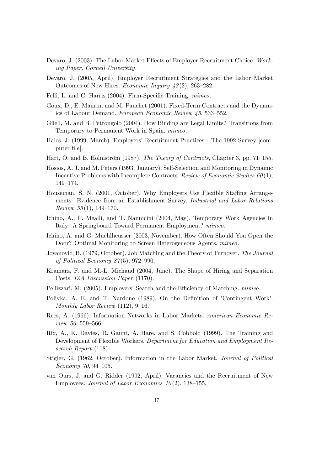- Devaro, J. (2003). The Labor Market Effects of Employer Recruitment Choice. Working Paper, Cornell University.
- Devaro, J. (2005, April). Employer Recruitment Strategies and the Labor Market Outcomes of New Hires. Economic Inquiry  $43(2)$ , 263–282.
- Felli, L. and C. Harris (2004). Firm-Specific Training. mimeo.
- Goux, D., E. Maurin, and M. Pauchet (2001). Fixed-Term Contracts and the Dynamics of Labour Demand. European Economic Review  $45, 533-552$ .
- Güell, M. and B. Petrongolo (2004). How Binding are Legal Limits? Transitions from Temporary to Permanent Work in Spain. mimeo.
- Hales, J. (1999, March). Employersí Recruitment Practices : The 1992 Survey [computer file.
- Hart, O. and B. Holmström (1987). The Theory of Contracts, Chapter 3, pp. 71–155.
- Hosios, A. J. and M. Peters (1993, January). Self-Selection and Monitoring in Dynamic Incentive Problems with Incomplete Contracts. Review of Economic Studies  $60(1)$ , 149-174.
- Houseman, S. N. (2001, October). Why Employers Use Flexible Staffing Arrangements: Evidence from an Establishment Survey. Industrial and Labor Relations Review  $55(1)$ , 149-170.
- Ichino, A., F. Mealli, and T. Nannicini (2004, May). Temporary Work Agencies in Italy: A Springboard Toward Permanent Employment? mimeo.
- Ichino, A. and G. Muehlheusser (2003, November). How Often Should You Open the Door? Optimal Monitoring to Screen Heterogeneous Agents. mimeo.
- Jovanovic, B. (1979, October). Job Matching and the Theory of Turnover. The Journal of Political Economy  $87(5)$ , 972-990.
- Kramarz, F. and M.-L. Michaud (2004, June). The Shape of Hiring and Separation Costs. IZA Discussion Paper (1170).
- Pellizzari, M. (2005). Employers' Search and the Efficiency of Matching. mimeo.
- Polivka, A. E. and T. Nardone (1989). On the Definition of 'Contingent Work'. Monthly Labor Review  $(112)$ , 9–16.
- Rees, A. (1966). Information Networks in Labor Markets. American Economic Re $view\ 56,559-566.$
- Rix, A., K. Davies, R. Gaunt, A. Hare, and S. Cobbold (1999). The Training and Development of Flexible Workers. Department for Education and Employment Research Report (118).
- Stigler, G. (1962, October). Information in the Labor Market. Journal of Political Economy 70, 94–105.
- van Ours, J. and G. Ridder (1992, April). Vacancies and the Recruitment of New Employees. Journal of Labor Economics  $10(2)$ , 138–155.